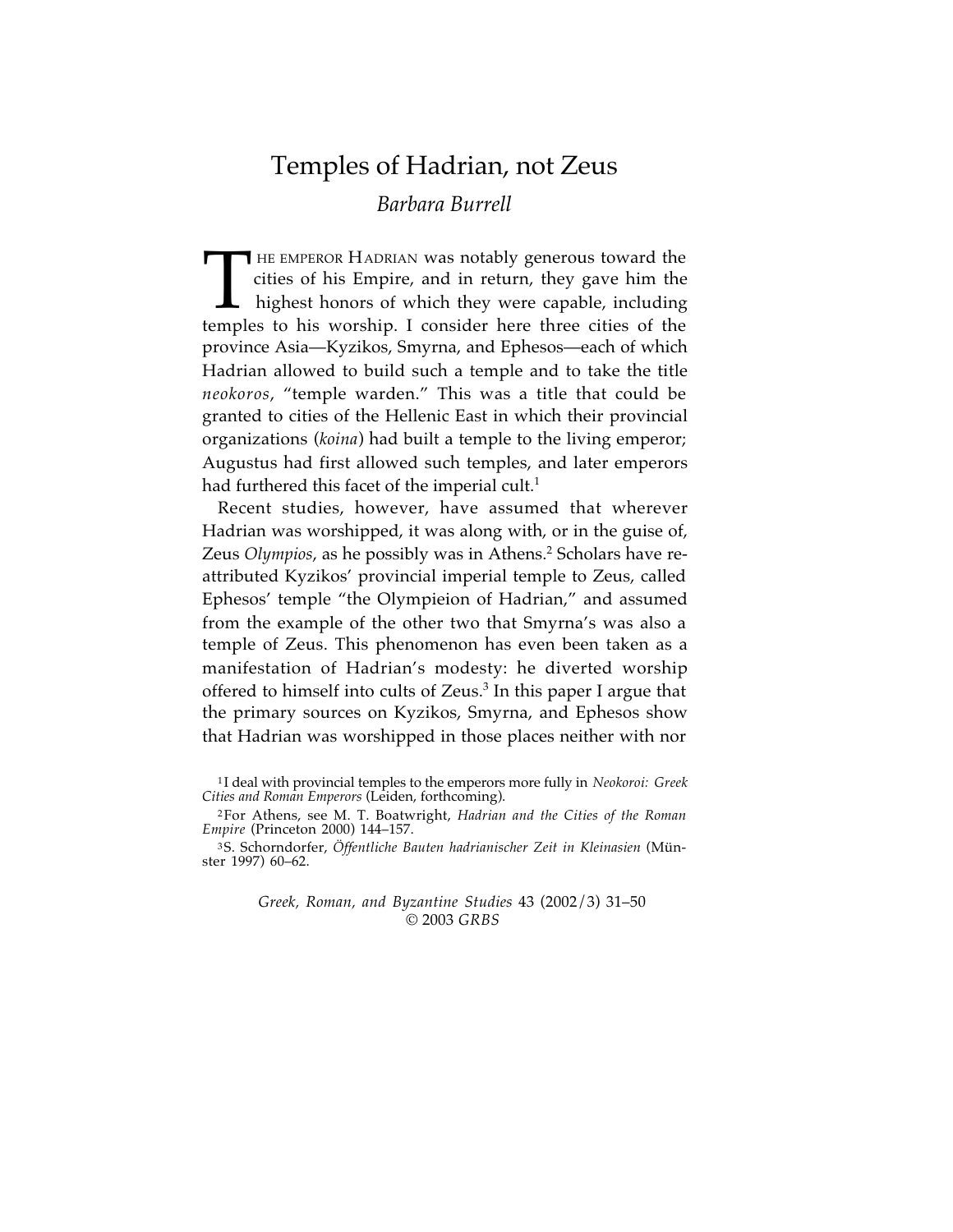# Temples of Hadrian, not Zeus

# *Barbara Burrell*

HE EMPEROR HADRIAN was notably generous toward the THE EMPEROR HADRIAN was notably generous toward the cities of his Empire, and in return, they gave him the highest honors of which they were capable, including temples to his worship. I consider here three cities of the highest honors of which they were capable, including temples to his worship. I consider here three cities of the province Asia—Kyzikos, Smyrna, and Ephesos—each of which Hadrian allowed to build such a temple and to take the title *neokoros*, "temple warden." This was a title that could be granted to cities of the Hellenic East in which their provincial organizations (*koina*) had built a temple to the living emperor; Augustus had first allowed such temples, and later emperors had furthered this facet of the imperial cult. 1

Recent studies, however, have assumed that wherever Hadrian was worshipped, it was along with, or in the guise of, Zeus *Olympios*, as he possibly was in Athens. <sup>2</sup> Scholars have reattributed Kyzikos' provincial imperial temple to Zeus, called Ephesos' temple "the Olympieion of Hadrian," and assumed from the example of the other two that Smyrna's was also a temple of Zeus. This phenomenon has even been taken as a manifestation of Hadrian's modesty: he diverted worship offered to himself into cults of Zeus. <sup>3</sup> In this paper I argue that the primary sources on Kyzikos, Smyrna, and Ephesos show that Hadrian was worshipped in those places neither with nor

*Greek, Roman, and Byzantine Studies* 43 (2002/3) 31–50 © 2003 *GRBS*

<sup>1</sup> I deal with provincial temples to the emperors more fully in *Neokoroi: Greek Cities and Roman Emperors* (Leiden, forthcoming).

<sup>2</sup>For Athens, see M. T. Boatwright, *Hadrian and the Cities of the Roman Empire* (Princeton 2000) 144–157.

<sup>3</sup>S. Schorndorfer, *Öffentliche Bauten hadrianischer Zeit in Kleinasien* (Münster 1997) 60–62.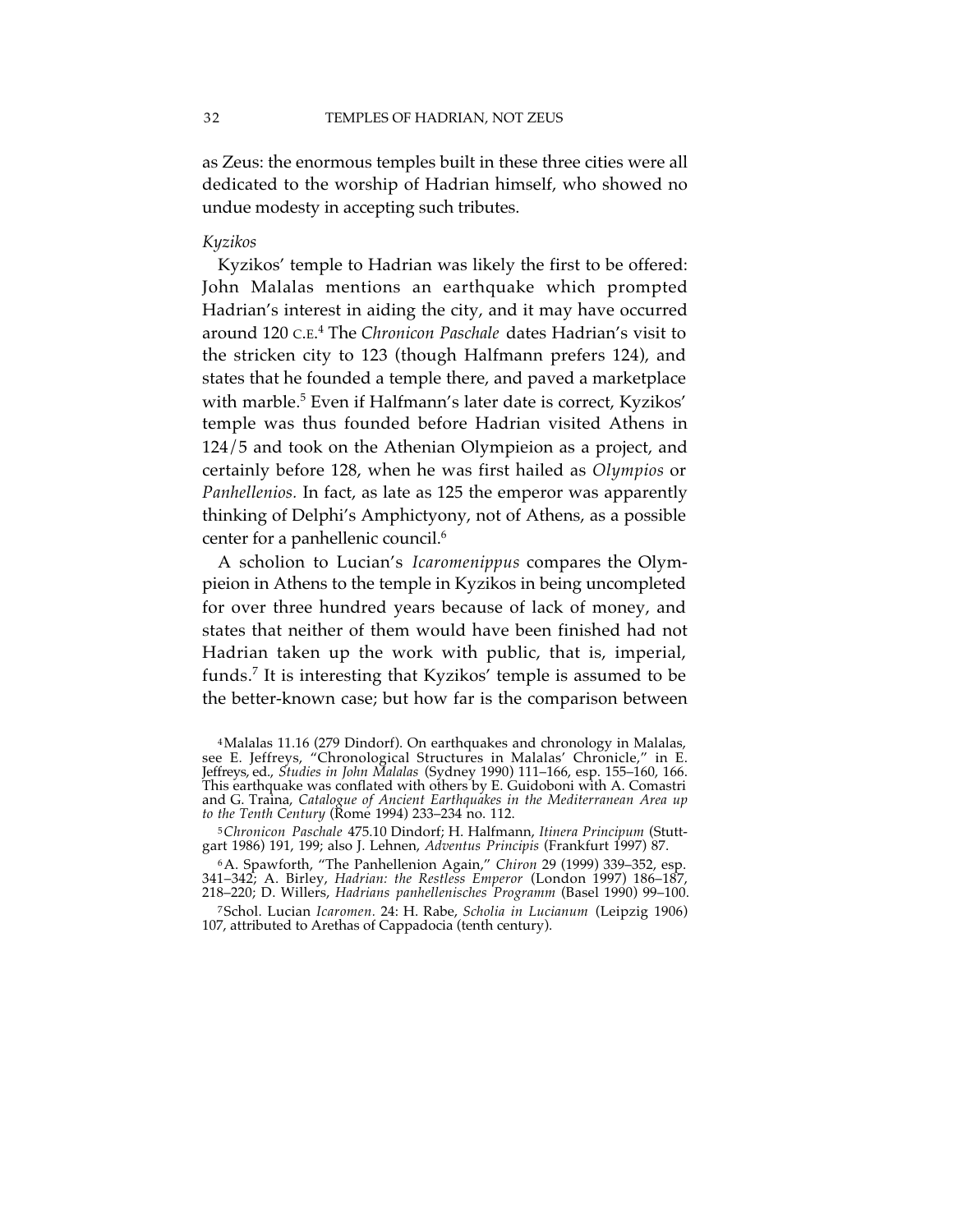as Zeus: the enormous temples built in these three cities were all dedicated to the worship of Hadrian himself, who showed no undue modesty in accepting such tributes.

### *Kyzikos*

Kyzikos' temple to Hadrian was likely the first to be offered: John Malalas mentions an earthquake which prompted Hadrian's interest in aiding the city, and it may have occurred around 120 C.E. <sup>4</sup> The *Chronicon Paschale* dates Hadrian's visit to the stricken city to 123 (though Halfmann prefers 124), and states that he founded a temple there, and paved a marketplace with marble. <sup>5</sup> Even if Halfmann's later date is correct, Kyzikos' temple was thus founded before Hadrian visited Athens in 124/5 and took on the Athenian Olympieion as a project, and certainly before 128, when he was first hailed as *Olympios* or *Panhellenios.* In fact, as late as 125 the emperor was apparently thinking of Delphi's Amphictyony, not of Athens, as a possible center for a panhellenic council. 6

A scholion to Lucian's *Icaromenippus* compares the Olympieion in Athens to the temple in Kyzikos in being uncompleted for over three hundred years because of lack of money, and states that neither of them would have been finished had not Hadrian taken up the work with public, that is, imperial, funds. <sup>7</sup> It is interesting that Kyzikos' temple is assumed to be the better-known case; but how far is the comparison between

<sup>4</sup>Malalas 11.16 (279 Dindorf). On earthquakes and chronology in Malalas, see E. Jeffreys, "Chronological Structures in Malalas' Chronicle," in E. Jeffreys, ed., *Studies in John Malalas* (Sydney 1990) 111–166, esp. 155–160, 166. This earthquake was conflated with others by E. Guidoboni with A. Comastri and G. Traina, *Catalogue of Ancient Earthquakes in the Mediterranean Area up to the Tenth Century* (Rome 1994) 233–234 no. 112.

<sup>5</sup>*Chronicon Paschale* 475.10 Dindorf; H. Halfmann, *Itinera Principum* (Stutt- gart 1986) 191, 199; also J. Lehnen, *Adventus Principis* (Frankfurt 1997) 87.

<sup>6</sup>A. Spawforth, "The Panhellenion Again," *Chiron* 29 (1999) 339–352, esp. 341–342; A. Birley, *Hadrian: the Restless Emperor* (London 1997) 186–187, 218–220; D. Willers, *Hadrians panhellenisches Programm* (Basel 1990) 99–100.

<sup>7</sup>Schol. Lucian *Icaromen.* 24: H. Rabe, *Scholia in Lucianum* (Leipzig 1906) 107, attributed to Arethas of Cappadocia (tenth century).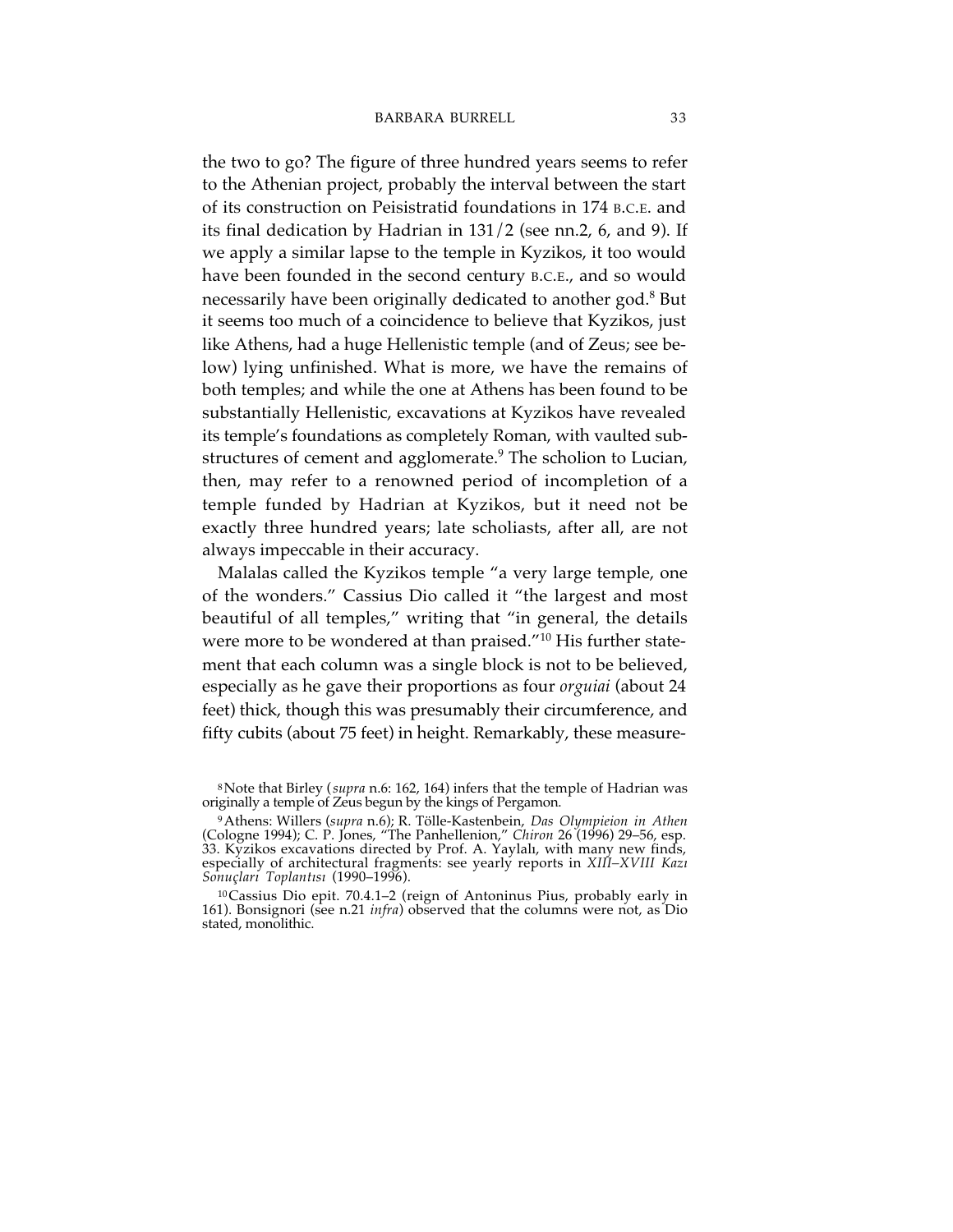the two to go? The figure of three hundred years seems to refer to the Athenian project, probably the interval between the start of its construction on Peisistratid foundations in 174 B.C.E. and its final dedication by Hadrian in 131/2 (see nn.2, 6, and 9). If we apply a similar lapse to the temple in Kyzikos, it too would have been founded in the second century B.C.E., and so would necessarily have been originally dedicated to another god. <sup>8</sup> But it seems too much of a coincidence to believe that Kyzikos, just like Athens, had a huge Hellenistic temple (and of Zeus; see below) lying unfinished. What is more, we have the remains of both temples; and while the one at Athens has been found to be substantially Hellenistic, excavations at Kyzikos have revealed its temple's foundations as completely Roman, with vaulted substructures of cement and agglomerate. <sup>9</sup> The scholion to Lucian, then, may refer to a renowned period of incompletion of a temple funded by Hadrian at Kyzikos, but it need not be exactly three hundred years; late scholiasts, after all, are not always impeccable in their accuracy.

Malalas called the Kyzikos temple "a very large temple, one of the wonders." Cassius Dio called it "the largest and most beautiful of all temples," writing that "in general, the details were more to be wondered at than praised."<sup>10</sup> His further statement that each column was a single block is not to be believed, especially as he gave their proportions as four *orguiai* (about 24 feet) thick, though this was presumably their circumference, and fifty cubits (about 75 feet) in height. Remarkably, these measure-

<sup>8</sup>Note that Birley (*supra* n.6: 162, 164) infers that the temple of Hadrian was originally a temple of Zeus begun by the kings of Pergamon.

<sup>9</sup>Athens: Willers (*supra* n.6); R. Tölle-Kastenbein, *Das Olympieion in Athen* (Cologne 1994); C. P. Jones, "The Panhellenion," *Chiron* 26 (1996) 29–56, esp. 33. Kyzikos excavations directed by Prof. A. Yaylalı, with many new finds, especially of architectural fragments: see yearly reports in *XIII–XVIII Kazı Sonuçları Toplantısı* (1990–1996).

<sup>10</sup>Cassius Dio epit. 70.4.1–2 (reign of Antoninus Pius, probably early in 161). Bonsignori (see n.21 *infra*) observed that the columns were not, as Dio stated, monolithic.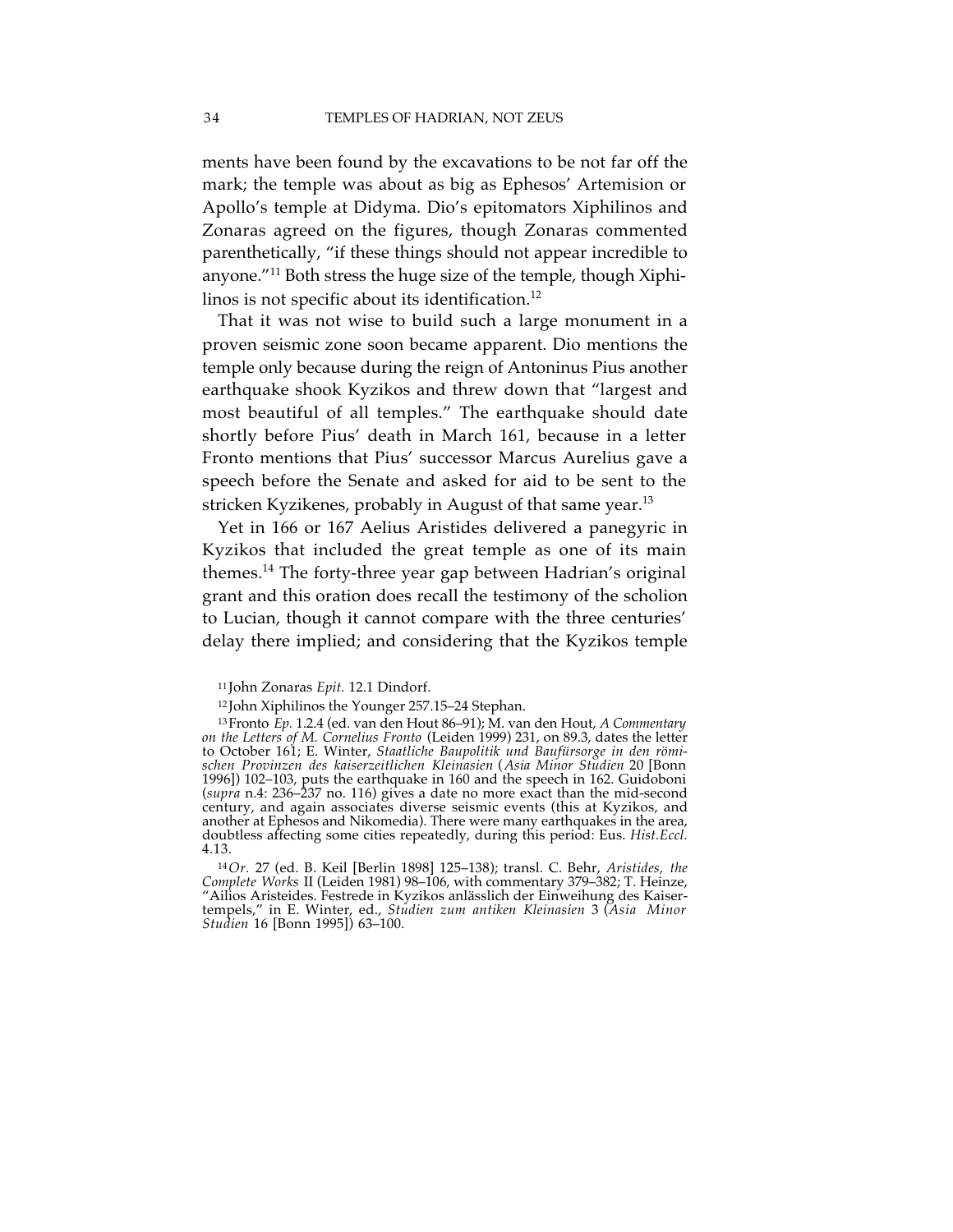ments have been found by the excavations to be not far off the mark; the temple was about as big as Ephesos' Artemision or Apollo's temple at Didyma. Dio's epitomators Xiphilinos and Zonaras agreed on the figures, though Zonaras commented parenthetically, "if these things should not appear incredible to anyone."11 Both stress the huge size of the temple, though Xiphilinos is not specific about its identification. 12

That it was not wise to build such a large monument in a proven seismic zone soon became apparent. Dio mentions the temple only because during the reign of Antoninus Pius another earthquake shook Kyzikos and threw down that "largest and most beautiful of all temples." The earthquake should date shortly before Pius' death in March 161, because in a letter Fronto mentions that Pius' successor Marcus Aurelius gave a speech before the Senate and asked for aid to be sent to the stricken Kyzikenes, probably in August of that same year. 13

Yet in 166 or 167 Aelius Aristides delivered a panegyric in Kyzikos that included the great temple as one of its main themes. <sup>14</sup> The forty-three year gap between Hadrian's original grant and this oration does recall the testimony of the scholion to Lucian, though it cannot compare with the three centuries' delay there implied; and considering that the Kyzikos temple

<sup>11</sup> John Zonaras *Epit.* 12.1 Dindorf.

<sup>12</sup> John Xiphilinos the Younger 257.15–24 Stephan.

<sup>13</sup>Fronto *Ep.* 1.2.4 (ed. van den Hout 86–91); M. van den Hout, *A Commentary on the Letters of M. Cornelius Fronto* (Leiden 1999) 231, on 89.3, dates the letter to October 161; E. Winter, *Staatliche Baupolitik und Baufürsorge in den römischen Provinzen des kaiserzeitlichen Kleinasien* (*Asia Minor Studien* 20 [Bonn 1996]) 102–103, puts the earthquake in 160 and the speech in 162. Guidoboni (*supra* n.4: 236–237 no. 116) gives a date no more exact than the mid-second century, and again associates diverse seismic events (this at Kyzikos, and another at Ephesos and Nikomedia). There were many earthquakes in the area, doubtless affecting some cities repeatedly, during this period: Eus. *Hist.Eccl.* 4.13.

<sup>14</sup>*Or.* 27 (ed. B. Keil [Berlin 1898] 125–138); transl. C. Behr, *Aristides, the Complete Works* II (Leiden 1981) 98–106, with commentary 379–382; T. Heinze, "Ailios Aristeides. Festrede in Kyzikos anlässlich der Einweihung des Kaisertempels," in E. Winter, ed., *Studien zum antiken Kleinasien* 3 (*Asia Minor Studien* 16 [Bonn 1995]) 63–100.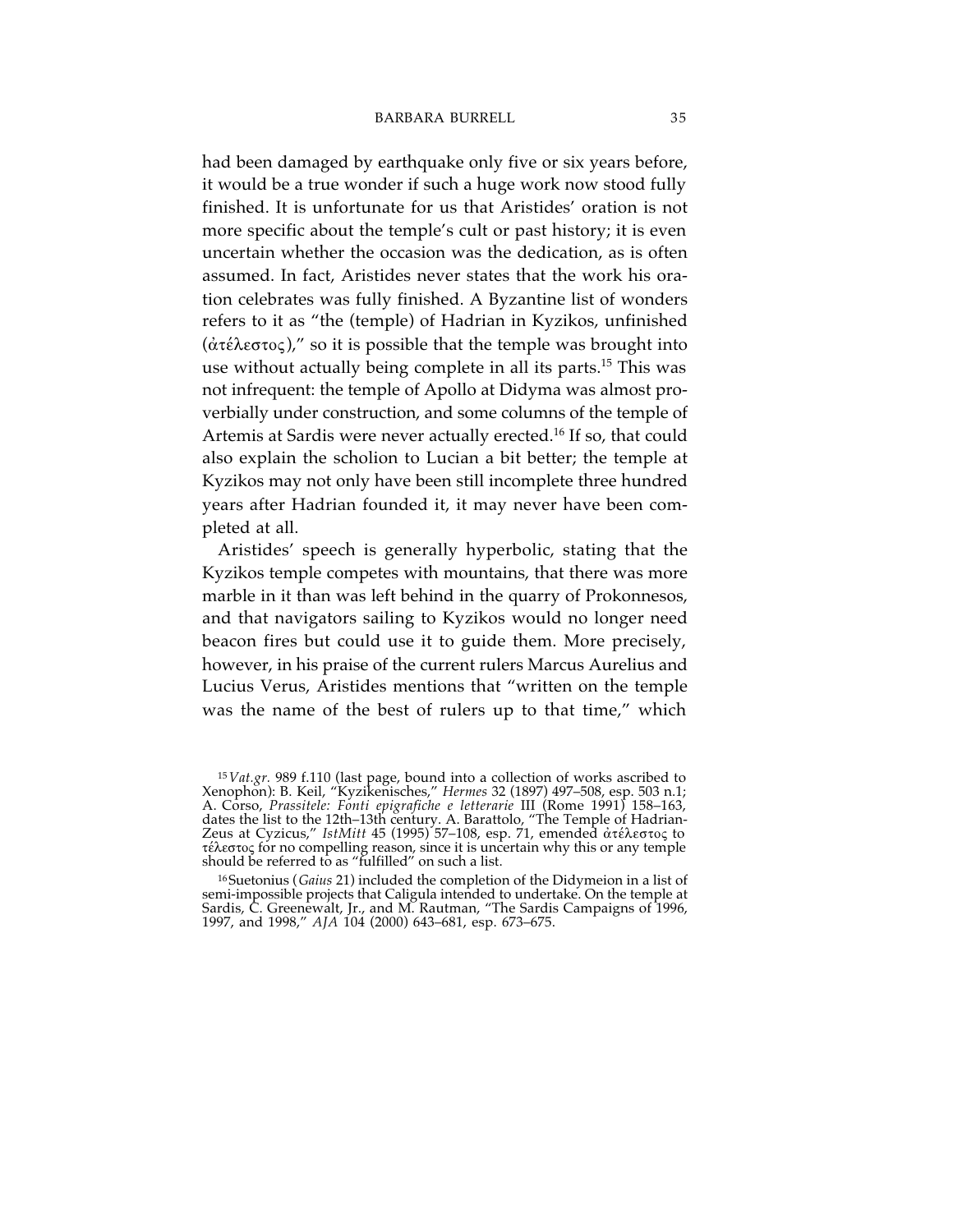had been damaged by earthquake only five or six years before, it would be a true wonder if such a huge work now stood fully finished. It is unfortunate for us that Aristides' oration is not more specific about the temple's cult or past history; it is even uncertain whether the occasion was the dedication, as is often assumed. In fact, Aristides never states that the work his oration celebrates was fully finished. A Byzantine list of wonders refers to it as "the (temple) of Hadrian in Kyzikos, unfinished  $(\alpha \tau \epsilon \lambda \epsilon \sigma \tau \sigma \epsilon)$ ," so it is possible that the temple was brought into use without actually being complete in all its parts. <sup>15</sup> This was not infrequent: the temple of Apollo at Didyma was almost proverbially under construction, and some columns of the temple of Artemis at Sardis were never actually erected. <sup>16</sup> If so, that could also explain the scholion to Lucian a bit better; the temple at Kyzikos may not only have been still incomplete three hundred years after Hadrian founded it, it may never have been completed at all.

Aristides' speech is generally hyperbolic, stating that the Kyzikos temple competes with mountains, that there was more marble in it than was left behind in the quarry of Prokonnesos, and that navigators sailing to Kyzikos would no longer need beacon fires but could use it to guide them. More precisely, however, in his praise of the current rulers Marcus Aurelius and Lucius Verus, Aristides mentions that "written on the temple was the name of the best of rulers up to that time," which

<sup>15</sup>*Vat.gr.* 989 f.110 (last page, bound into a collection of works ascribed to Xenophon): B. Keil, "Kyzikenisches," *Hermes* 32 (1897) 497–508, esp. 503 n.1; A. Corso, *Prassitele: Fonti epigrafiche e letterarie* III (Rome 1991) 158–163, dates the list to the 12th–13th century. A. Barattolo, "The Temple of Hadrian-Zeus at Cyzicus," *IstMitt 45 (1995) 57–108, esp. 71, emended ἀτ*έλεστος to τέλεστος for no compelling reason, since it is uncertain why this or any temple should be referred to as "fulfilled" on such a list.

<sup>16</sup>Suetonius (*Gaius* 21) included the completion of the Didymeion in a list of semi-impossible projects that Caligula intended to undertake. On the temple at Sardis, C. Greenewalt, Jr., and M. Rautman, "The Sardis Campaigns of 1996, 1997, and 1998," *AJA* 104 (2000) 643–681, esp. 673–675.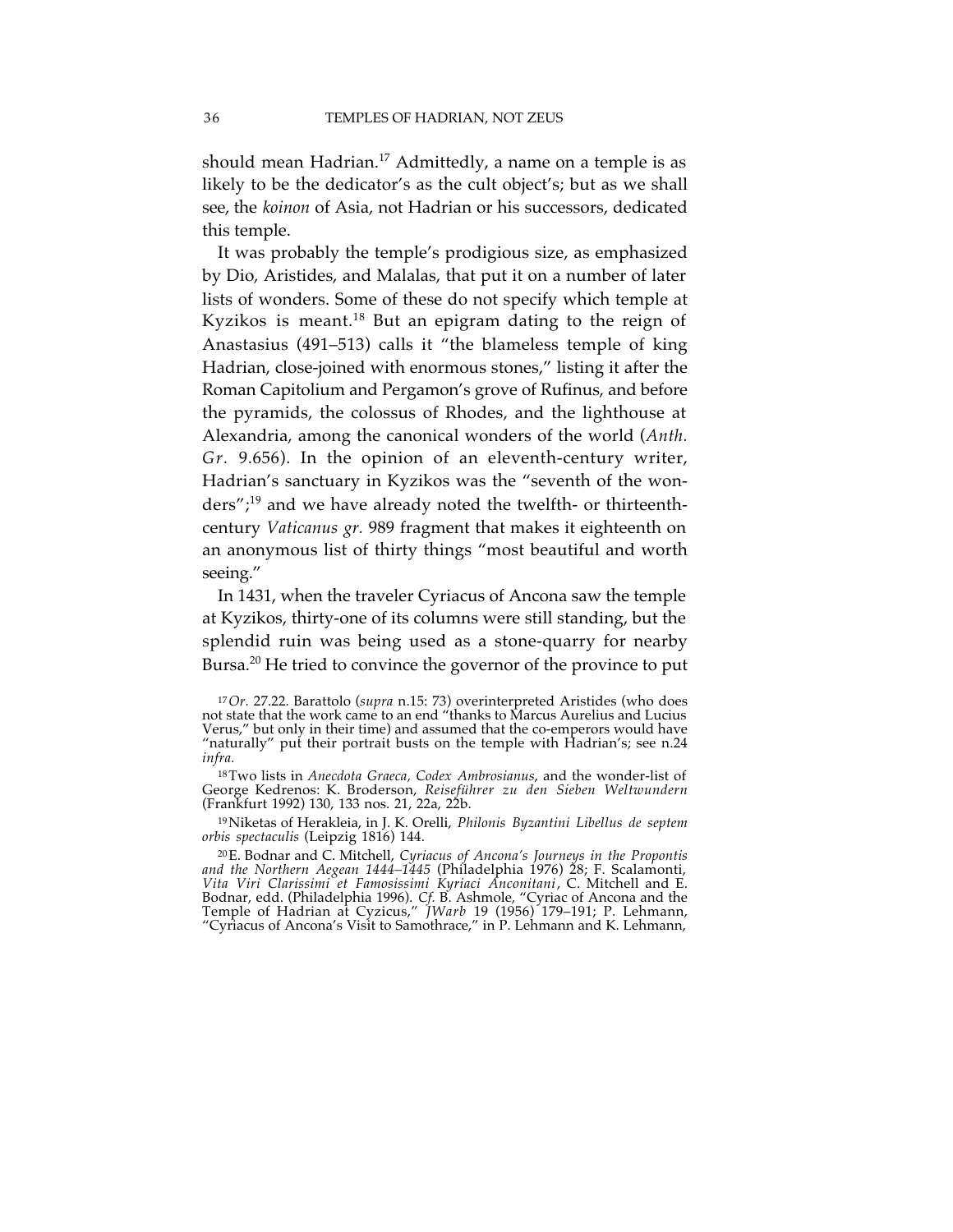should mean Hadrian. <sup>17</sup> Admittedly, a name on a temple is as likely to be the dedicator's as the cult object's; but as we shall see, the *koinon* of Asia, not Hadrian or his successors, dedicated this temple.

It was probably the temple's prodigious size, as emphasized by Dio, Aristides, and Malalas, that put it on a number of later lists of wonders. Some of these do not specify which temple at Kyzikos is meant. <sup>18</sup> But an epigram dating to the reign of Anastasius (491–513) calls it "the blameless temple of king Hadrian, close-joined with enormous stones," listing it after the Roman Capitolium and Pergamon's grove of Rufinus, and before the pyramids, the colossus of Rhodes, and the lighthouse at Alexandria, among the canonical wonders of the world (*Anth. Gr.* 9.656). In the opinion of an eleventh-century writer, Hadrian's sanctuary in Kyzikos was the "seventh of the wonders"; <sup>19</sup> and we have already noted the twelfth- or thirteenthcentury *Vaticanus gr.* 989 fragment that makes it eighteenth on an anonymous list of thirty things "most beautiful and worth seeing."

In 1431, when the traveler Cyriacus of Ancona saw the temple at Kyzikos, thirty-one of its columns were still standing, but the splendid ruin was being used as a stone-quarry for nearby Bursa.<sup>20</sup> He tried to convince the governor of the province to put

19Niketas of Herakleia, in J. K. Orelli, *Philonis Byzantini Libellus de septem orbis spectaculis* (Leipzig 1816) 144.

20E. Bodnar and C. Mitchell, *Cyriacus of Ancona's Journeys in the Propontis and the Northern Aegean 1444–1445* (Philadelphia 1976) 28; F. Scalamonti, *Vita Viri Clarissimi et Famosissimi Kyriaci Anconitani*, C. Mitchell and E. Bodnar, edd. (Philadelphia 1996). *Cf.* B. Ashmole, "Cyriac of Ancona and the Temple of Hadrian at Cyzicus," *JWarb* 19 (1956) 179–191; P. Lehmann, "Cyriacus of Ancona's Visit to Samothrace," in P. Lehmann and K. Lehmann,

<sup>17</sup>*Or.* 27.22. Barattolo (*supra* n.15: 73) overinterpreted Aristides (who does not state that the work came to an end "thanks to Marcus Aurelius and Lucius Verus," but only in their time) and assumed that the co-emperors would have "naturally" put their portrait busts on the temple with Hadrian's; see n.24 *infra.*

<sup>18</sup>Two lists in *Anecdota Graeca, Codex Ambrosianus*, and the wonder-list of George Kedrenos: K. Broderson, *Reiseführer zu den Sieben Weltwundern* (Frankfurt 1992) 130, <sup>133</sup> nos. 21, 22a, 22b.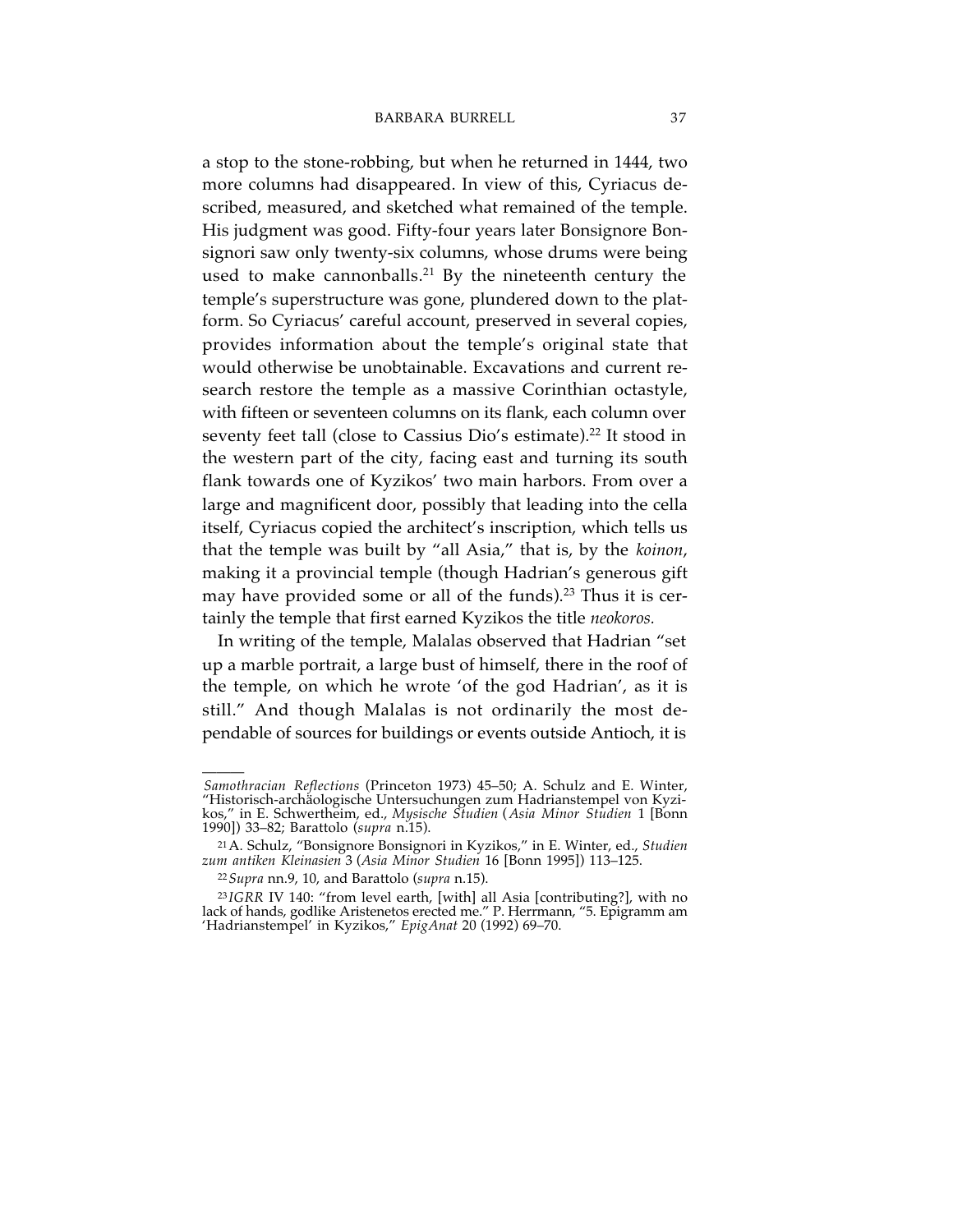a stop to the stone-robbing, but when he returned in 1444, two more columns had disappeared. In view of this, Cyriacus described, measured, and sketched what remained of the temple. His judgment was good. Fifty-four years later Bonsignore Bonsignori saw only twenty-six columns, whose drums were being used to make cannonballs. <sup>21</sup> By the nineteenth century the temple's superstructure was gone, plundered down to the platform. So Cyriacus' careful account, preserved in several copies, provides information about the temple's original state that would otherwise be unobtainable. Excavations and current research restore the temple as a massive Corinthian octastyle, with fifteen or seventeen columns on its flank, each column over seventy feet tall (close to Cassius Dio's estimate). <sup>22</sup> It stood in the western part of the city, facing east and turning its south flank towards one of Kyzikos' two main harbors. From over a large and magnificent door, possibly that leading into the cella itself, Cyriacus copied the architect's inscription, which tells us that the temple was built by "all Asia," that is, by the *koinon*, making it a provincial temple (though Hadrian's generous gift may have provided some or all of the funds). <sup>23</sup> Thus it is certainly the temple that first earned Kyzikos the title *neokoros.*

In writing of the temple, Malalas observed that Hadrian "set up a marble portrait, a large bust of himself, there in the roof of the temple, on which he wrote 'of the god Hadrian', as it is still." And though Malalas is not ordinarily the most dependable of sources for buildings or events outside Antioch, it is

<sup>———</sup> *Samothracian Reflections* (Princeton 1973) 45–50; A. Schulz and E. Winter, "Historisch-archäologische Untersuchungen zum Hadrianstempel von Kyzikos," in E. Schwertheim, ed., *Mysische Studien* (*Asia Minor Studien* 1 [Bonn 1990]) 33–82; Barattolo (*supra* n.15).

<sup>21</sup>A. Schulz, "Bonsignore Bonsignori in Kyzikos," in E. Winter, ed., *Studien zum antiken Kleinasien* <sup>3</sup> (*Asia Minor Studien* <sup>16</sup> [Bonn 1995]) 113–125.

<sup>22</sup>*Supra* nn.9, 10, and Barattolo (*supra* n.15).

<sup>23</sup> *IGRR* IV 140: "from level earth, [with] all Asia [contributing?], with no lack of hands, godlike Aristenetos erected me." P. Herrmann, "5. Epigramm am 'Hadrianstempel' in Kyzikos," *EpigAnat* 20 (1992) 69–70.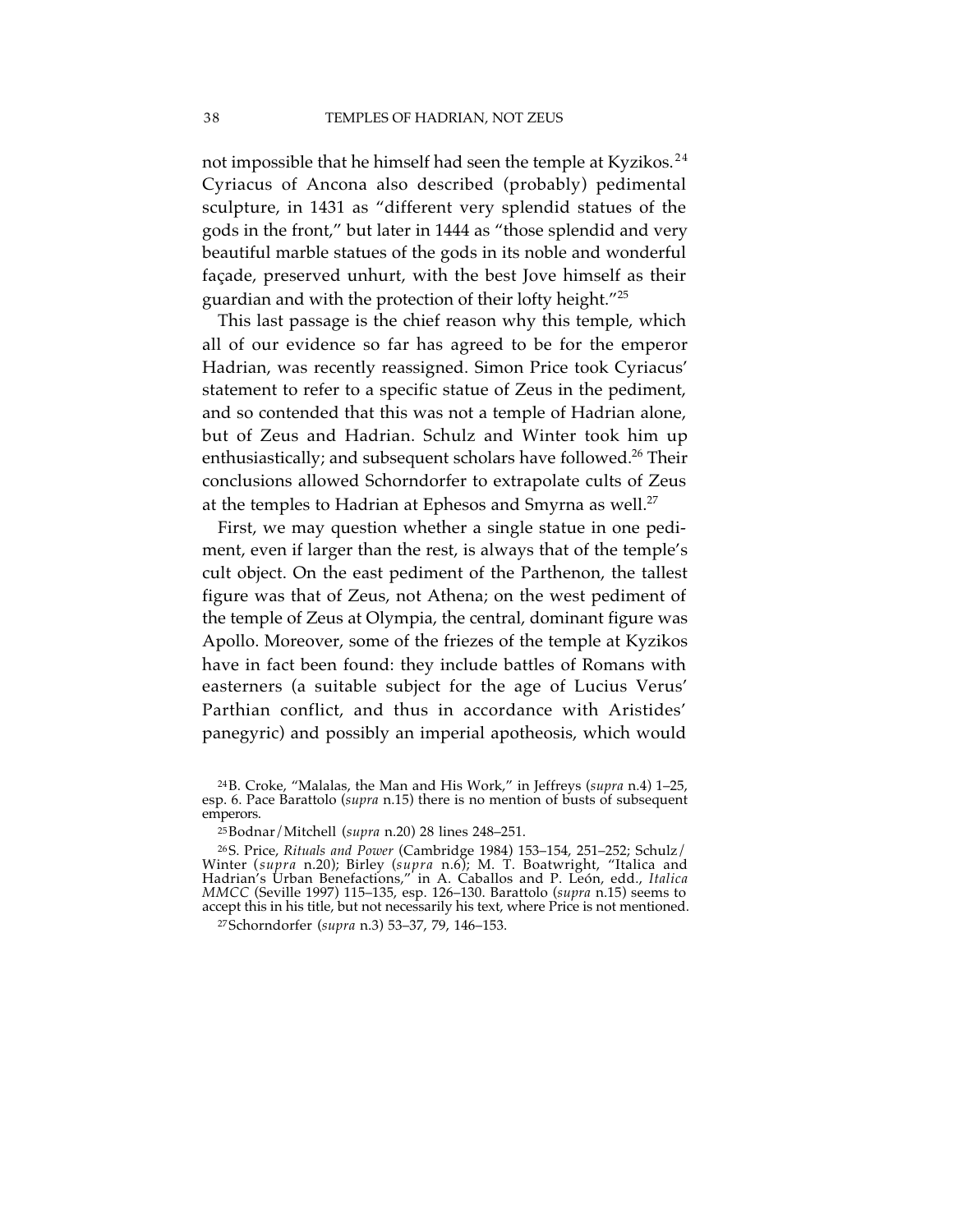not impossible that he himself had seen the temple at Kyzikos.<sup>24</sup> Cyriacus of Ancona also described (probably) pedimental sculpture, in 1431 as "different very splendid statues of the gods in the front," but later in 1444 as "those splendid and very beautiful marble statues of the gods in its noble and wonderful façade, preserved unhurt, with the best Jove himself as their guardian and with the protection of their lofty height."25

This last passage is the chief reason why this temple, which all of our evidence so far has agreed to be for the emperor Hadrian, was recently reassigned. Simon Price took Cyriacus' statement to refer to a specific statue of Zeus in the pediment, and so contended that this was not a temple of Hadrian alone, but of Zeus and Hadrian. Schulz and Winter took him up enthusiastically; and subsequent scholars have followed. <sup>26</sup> Their conclusions allowed Schorndorfer to extrapolate cults of Zeus at the temples to Hadrian at Ephesos and Smyrna as well. 27

First, we may question whether a single statue in one pediment, even if larger than the rest, is always that of the temple's cult object. On the east pediment of the Parthenon, the tallest figure was that of Zeus, not Athena; on the west pediment of the temple of Zeus at Olympia, the central, dominant figure was Apollo. Moreover, some of the friezes of the temple at Kyzikos have in fact been found: they include battles of Romans with easterners (a suitable subject for the age of Lucius Verus' Parthian conflict, and thus in accordance with Aristides' panegyric) and possibly an imperial apotheosis, which would

<sup>24</sup>B. Croke, "Malalas, the Man and His Work," in Jeffreys (*supra* n.4) 1–25, esp. 6. Pace Barattolo (*supra* n.15) there is no mention of busts of subsequent emperors.

<sup>25</sup>Bodnar/Mitchell (*supra* n.20) 28 lines 248–251.

<sup>26</sup>S. Price, *Rituals and Power* (Cambridge 1984) 153–154, 251–252; Schulz/ Winter (*supra* n.20); Birley (*supra* n.6); M. T. Boatwright, "Italica and Hadrian's Urban Benefactions," in A. Caballos and P. León, edd., *Italica MMCC* (Seville 1997) 115–135, esp. 126–130. Barattolo (*supra* n.15) seems to accept this in his title, but not necessarily his text, where Price is not mentioned.

<sup>27</sup>Schorndorfer (*supra* n.3) 53–37, 79, 146–153.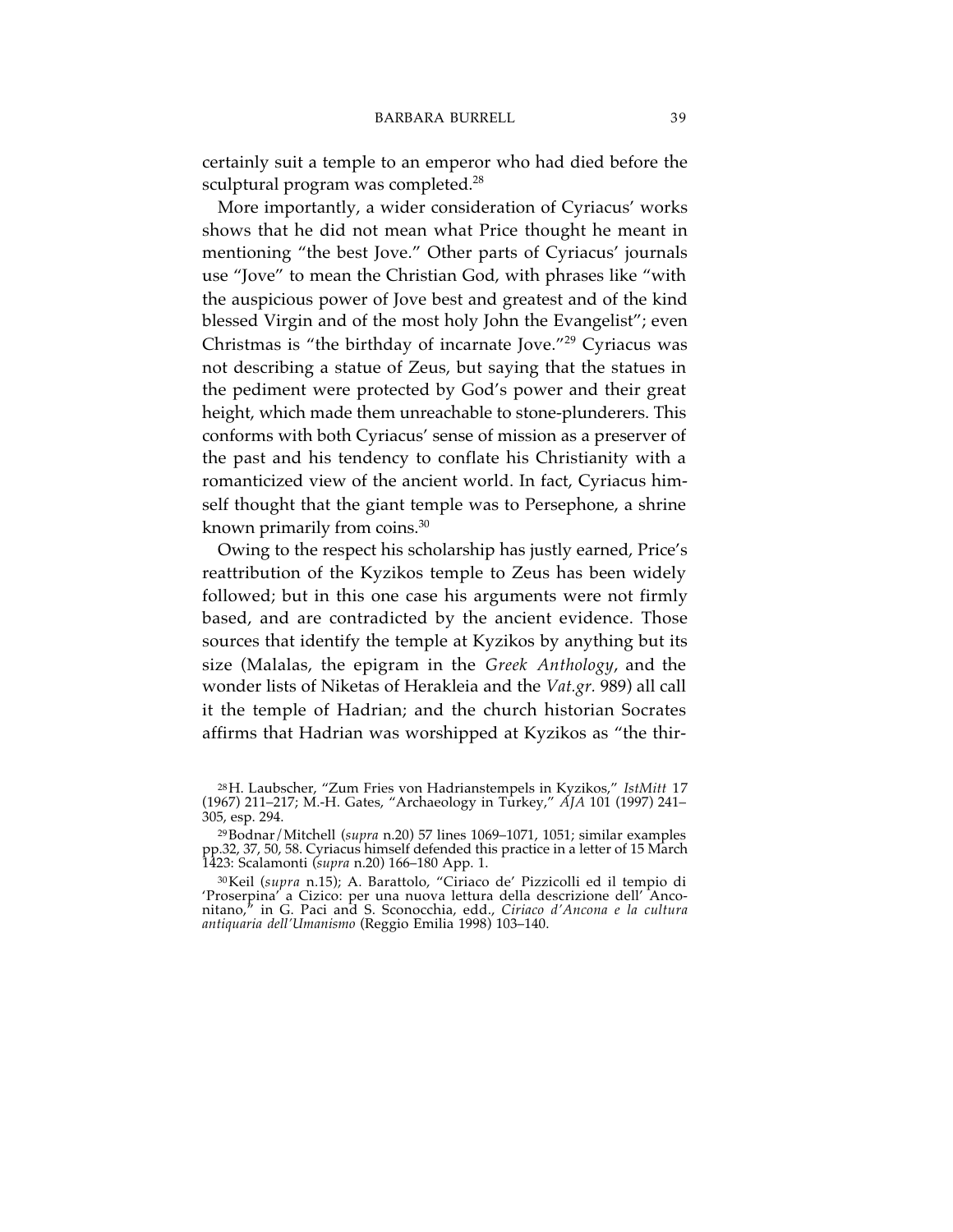certainly suit a temple to an emperor who had died before the sculptural program was completed. 28

More importantly, a wider consideration of Cyriacus' works shows that he did not mean what Price thought he meant in mentioning "the best Jove." Other parts of Cyriacus' journals use "Jove" to mean the Christian God, with phrases like "with the auspicious power of Jove best and greatest and of the kind blessed Virgin and of the most holy John the Evangelist"; even Christmas is "the birthday of incarnate Jove."<sup>29</sup> Cyriacus was not describing a statue of Zeus, but saying that the statues in the pediment were protected by God's power and their great height, which made them unreachable to stone-plunderers. This conforms with both Cyriacus' sense of mission as a preserver of the past and his tendency to conflate his Christianity with a romanticized view of the ancient world. In fact, Cyriacus himself thought that the giant temple was to Persephone, a shrine known primarily from coins. 30

Owing to the respect his scholarship has justly earned, Price's reattribution of the Kyzikos temple to Zeus has been widely followed; but in this one case his arguments were not firmly based, and are contradicted by the ancient evidence. Those sources that identify the temple at Kyzikos by anything but its size (Malalas, the epigram in the *Greek Anthology*, and the wonder lists of Niketas of Herakleia and the *Vat.gr.* 989) all call it the temple of Hadrian; and the church historian Socrates affirms that Hadrian was worshipped at Kyzikos as "the thir-

<sup>28</sup>H. Laubscher, "Zum Fries von Hadrianstempels in Kyzikos," *IstMitt* 17 (1967) 211–217; M.-H. Gates, "Archaeology in Turkey," *AJA* 101 (1997) 241– 305, esp. 294.

<sup>29</sup>Bodnar/Mitchell (*supra* n.20) 57 lines 1069–1071, 1051; similar examples pp.32, 37, 50, 58. Cyriacus himself defended this practice in a letter of 15 March 1423: Scalamonti (*supra* n.20) 166–180 App. 1.

<sup>30</sup>Keil (*supra* n.15); A. Barattolo, "Ciriaco de' Pizzicolli ed il tempio di 'Proserpina' a Cizico: per una nuova lettura della descrizione dell' Anconitano," in G. Paci and S. Sconocchia, edd., *Ciriaco d'Ancona e la cultura antiquaria dell'Umanismo* (Reggio Emilia 1998) 103–140.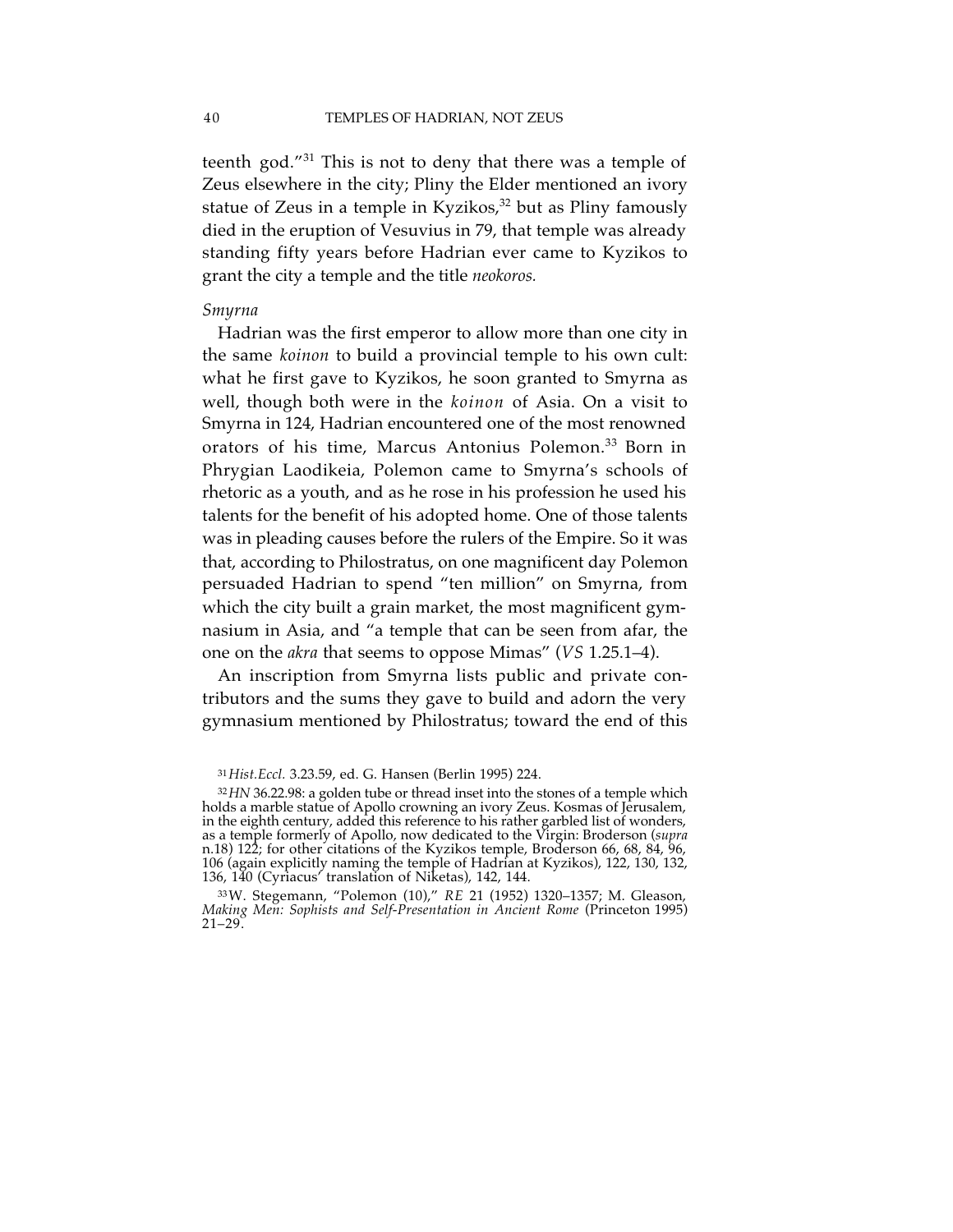teenth god."<sup>31</sup> This is not to deny that there was a temple of Zeus elsewhere in the city; Pliny the Elder mentioned an ivory statue of Zeus in a temple in Kyzikos, <sup>32</sup> but as Pliny famously died in the eruption of Vesuvius in 79, that temple was already standing fifty years before Hadrian ever came to Kyzikos to grant the city a temple and the title *neokoros.*

#### *Smyrna*

Hadrian was the first emperor to allow more than one city in the same *koinon* to build a provincial temple to his own cult: what he first gave to Kyzikos, he soon granted to Smyrna as well, though both were in the *koinon* of Asia. On a visit to Smyrna in 124, Hadrian encountered one of the most renowned orators of his time, Marcus Antonius Polemon. <sup>33</sup> Born in Phrygian Laodikeia, Polemon came to Smyrna's schools of rhetoric as a youth, and as he rose in his profession he used his talents for the benefit of his adopted home. One of those talents was in pleading causes before the rulers of the Empire. So it was that, according to Philostratus, on one magnificent day Polemon persuaded Hadrian to spend "ten million" on Smyrna, from which the city built a grain market, the most magnificent gymnasium in Asia, and "a temple that can be seen from afar, the one on the *akra* that seems to oppose Mimas" (*VS* 1.25.1–4).

An inscription from Smyrna lists public and private contributors and the sums they gave to build and adorn the very gymnasium mentioned by Philostratus; toward the end of this

<sup>31</sup>*Hist.Eccl.* 3.23.59, ed. G. Hansen (Berlin 1995) 224.

<sup>32</sup>*HN* 36.22.98: a golden tube or thread inset into the stones of a temple which holds a marble statue of Apollo crowning an ivory Zeus. Kosmas of Jerusalem, in the eighth century, added this reference to his rather garbled list of wonders, as a temple formerly of Apollo, now dedicated to the Virgin: Broderson (*supra* n.18) 122; for other citations of the Kyzikos temple, Broderson 66, 68, 84, 96, 106 (again explicitly naming the temple of Hadrian at Kyzikos), 122, 130, 132, 136, 140 (Cyriacus' translation of Niketas), 142, 144.

<sup>33</sup>W. Stegemann, "Polemon (10)," *RE* 21 (1952) 1320–1357; M. Gleason, *Making Men: Sophists and Self-Presentation in Ancient Rome* (Princeton 1995)  $21 - 29$ .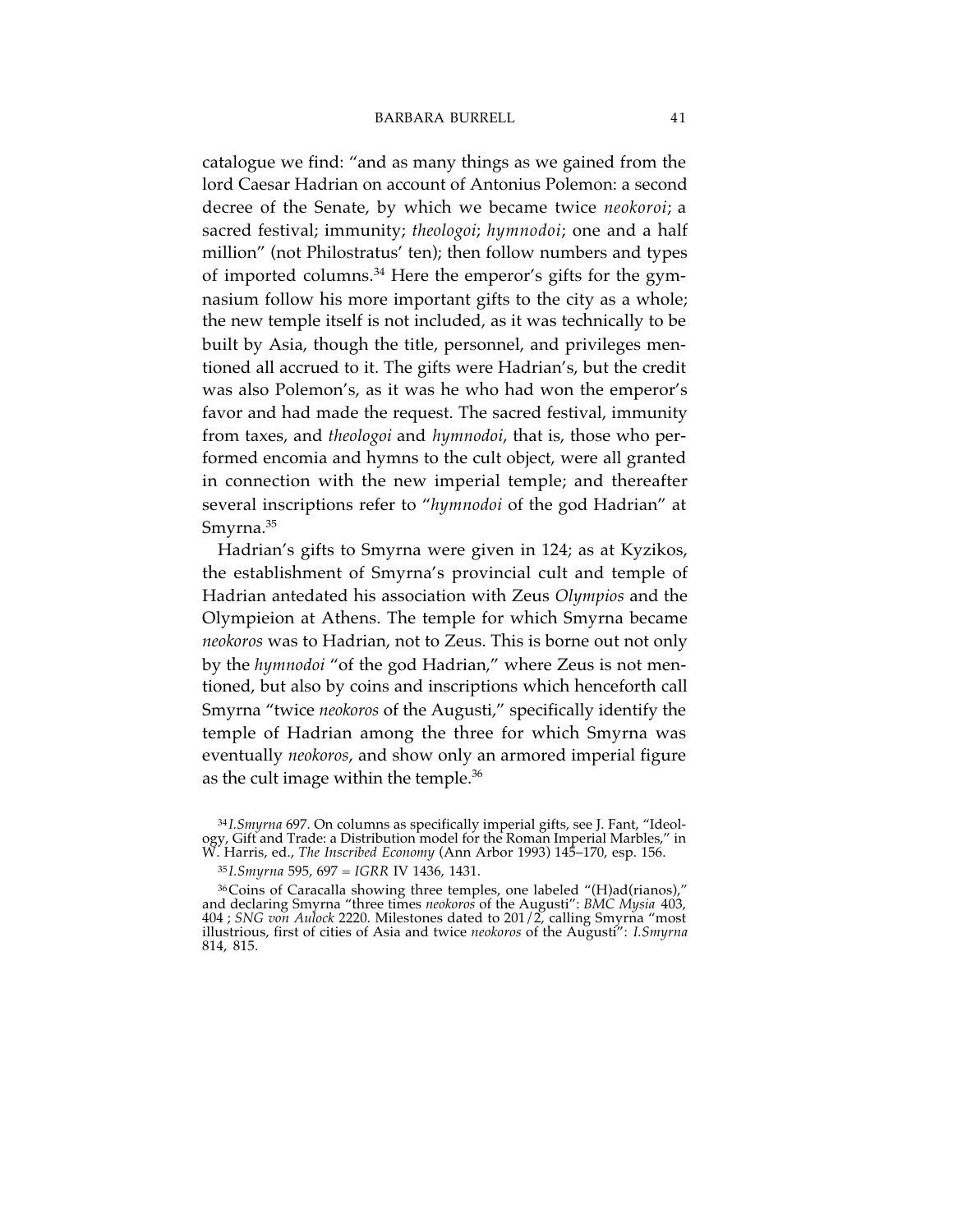catalogue we find: "and as many things as we gained from the lord Caesar Hadrian on account of Antonius Polemon: a second decree of the Senate, by which we became twice *neokoroi*; a sacred festival; immunity; *theologoi*; *hymnodoi*; one and a half million" (not Philostratus' ten); then follow numbers and types of imported columns. <sup>34</sup> Here the emperor's gifts for the gymnasium follow his more important gifts to the city as a whole; the new temple itself is not included, as it was technically to be built by Asia, though the title, personnel, and privileges mentioned all accrued to it. The gifts were Hadrian's, but the credit was also Polemon's, as it was he who had won the emperor's favor and had made the request. The sacred festival, immunity from taxes, and *theologoi* and *hymnodoi*, that is, those who performed encomia and hymns to the cult object, were all granted in connection with the new imperial temple; and thereafter several inscriptions refer to "*hymnodoi* of the god Hadrian" at Smyrna. 35

Hadrian's gifts to Smyrna were given in 124; as at Kyzikos, the establishment of Smyrna's provincial cult and temple of Hadrian antedated his association with Zeus *Olympios* and the Olympieion at Athens. The temple for which Smyrna became *neokoros* was to Hadrian, not to Zeus. This is borne out not only by the *hymnodoi* "of the god Hadrian," where Zeus is not mentioned, but also by coins and inscriptions which henceforth call Smyrna "twice *neokoros* of the Augusti," specifically identify the temple of Hadrian among the three for which Smyrna was eventually *neokoros*, and show only an armored imperial figure as the cult image within the temple. 36

<sup>&</sup>lt;sup>34</sup>*I.Smyrna* 697. On columns as specifically imperial gifts, see J. Fant, "Ideology, Gift and Trade: a Distribution model for the Roman Imperial Marbles," in W. Harris, ed., *The Inscribed Economy* (Ann Arbor 1993) 145–1

<sup>35</sup> *I.Smyrna* 595, 697 = *IGRR* IV 1436, 1431.

<sup>36</sup>Coins of Caracalla showing three temples, one labeled "(H)ad(rianos)," and declaring Smyrna "three times *neokoros* of the Augusti": *BMC Mysia* 403, 404 ; *SNG von Aulock* 2220. Milestones dated to 201/2, calling Smyrna "most illustrious, first of cities of Asia and twice *neokoros* of the Augusti": *I.Smyrna* 814, 815.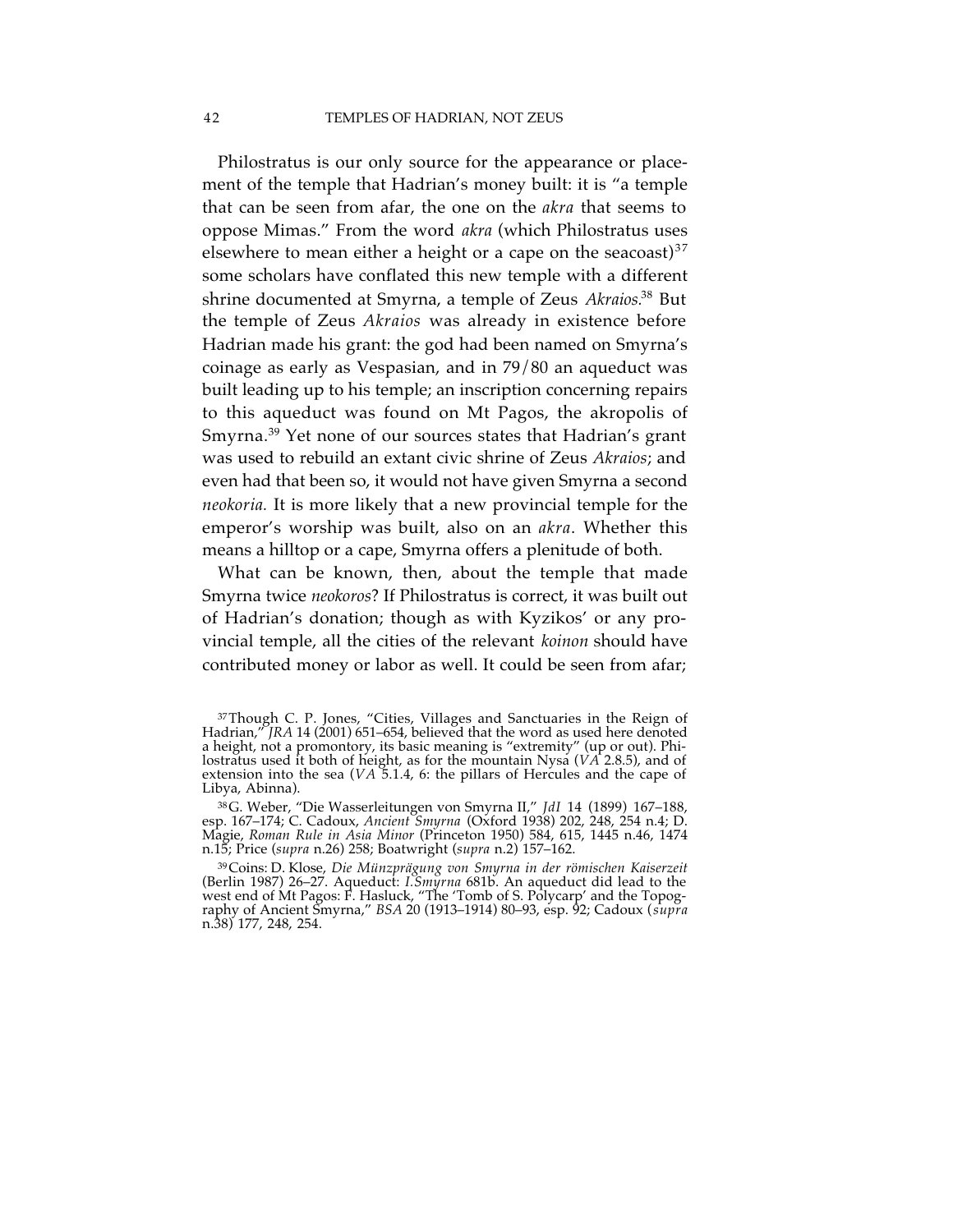Philostratus is our only source for the appearance or placement of the temple that Hadrian's money built: it is "a temple that can be seen from afar, the one on the *akra* that seems to oppose Mimas." From the word *akra* (which Philostratus uses elsewhere to mean either a height or a cape on the seacoast) $37$ some scholars have conflated this new temple with a different shrine documented at Smyrna, a temple of Zeus *Akraios.*<sup>38</sup> But the temple of Zeus *Akraios* was already in existence before Hadrian made his grant: the god had been named on Smyrna's coinage as early as Vespasian, and in 79/80 an aqueduct was built leading up to his temple; an inscription concerning repairs to this aqueduct was found on Mt Pagos, the akropolis of Smyrna. <sup>39</sup> Yet none of our sources states that Hadrian's grant was used to rebuild an extant civic shrine of Zeus *Akraios*; and even had that been so, it would not have given Smyrna a second *neokoria.* It is more likely that a new provincial temple for the emperor's worship was built, also on an *akra*. Whether this means a hilltop or a cape, Smyrna offers a plenitude of both.

What can be known, then, about the temple that made Smyrna twice *neokoros*? If Philostratus is correct, it was built out of Hadrian's donation; though as with Kyzikos' or any provincial temple, all the cities of the relevant *koinon* should have contributed money or labor as well. It could be seen from afar;

<sup>37</sup>Though C. P. Jones, "Cities, Villages and Sanctuaries in the Reign of Hadrian," *JRA* 14 (2001) 651–654, believed that the word as used here denoted a height, not a promontory, its basic meaning is "extremity" (up or out). Philostratus used it both of height, as for the mountain Nysa (*VA* 2.8.5), and of extension into the sea (*VA* 5.1.4, 6: the pillars of Hercules and the cape of Libya, Abinna).

<sup>38</sup>G. Weber, "Die Wasserleitungen von Smyrna II," *JdI* 14 (1899) 167–188, esp. 167–174; C. Cadoux, *Ancient Smyrna* (Oxford 1938) 202, 248, 254 n.4; D. Magie, *Roman Rule in Asia Minor* (Princeton 1950) 584, 615, 1445 n.46, 1474 n.15; Price (*supra* n.26) 258; Boatwright (*supra* n.2) 157–162.

<sup>39</sup>Coins: D. Klose, *Die Münzprägung von Smyrna in der römischen Kaiserzeit* (Berlin 1987) 26–27. Aqueduct: *I.Smyrna* 681b. An aqueduct did lead to the west end of Mt Pagos: F. Hasluck, "The 'Tomb of S. Polycarp' and the Topography of Ancient Smyrna," *BSA* 20 (1913–1914) 80–93, esp. 92; Cadoux (*supra* n.38) 177, 248, 254.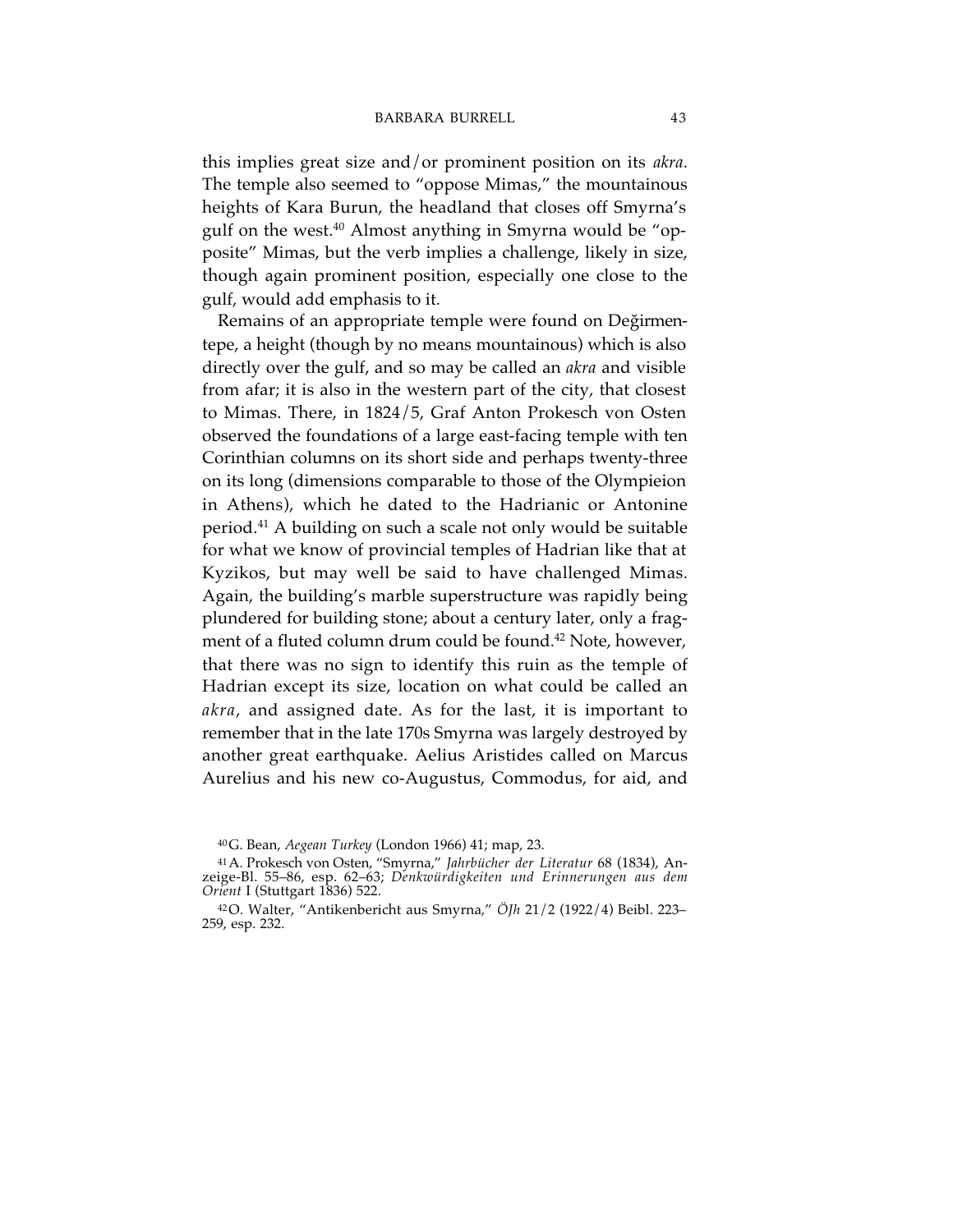this implies great size and/or prominent position on its *akra*. The temple also seemed to "oppose Mimas," the mountainous heights of Kara Burun, the headland that closes off Smyrna's gulf on the west. <sup>40</sup> Almost anything in Smyrna would be "opposite" Mimas, but the verb implies a challenge, likely in size, though again prominent position, especially one close to the gulf, would add emphasis to it.

Remains of an appropriate temple were found on Değirmentepe, a height (though by no means mountainous) which is also directly over the gulf, and so may be called an *akra* and visible from afar; it is also in the western part of the city, that closest to Mimas. There, in 1824/5, Graf Anton Prokesch von Osten observed the foundations of a large east-facing temple with ten Corinthian columns on its short side and perhaps twenty-three on its long (dimensions comparable to those of the Olympieion in Athens), which he dated to the Hadrianic or Antonine period. <sup>41</sup> A building on such a scale not only would be suitable for what we know of provincial temples of Hadrian like that at Kyzikos, but may well be said to have challenged Mimas. Again, the building's marble superstructure was rapidly being plundered for building stone; about a century later, only a fragment of a fluted column drum could be found.<sup>42</sup> Note, however, that there was no sign to identify this ruin as the temple of Hadrian except its size, location on what could be called an *akra*, and assigned date. As for the last, it is important to remember that in the late 170s Smyrna was largely destroyed by another great earthquake. Aelius Aristides called on Marcus Aurelius and his new co-Augustus, Commodus, for aid, and

<sup>40</sup>G. Bean, *Aegean Turkey* (London 1966) 41; map, 23.

<sup>41</sup>A. Prokesch von Osten, "Smyrna," *Jahrbücher der Literatur* 68 (1834), Anzeige-Bl. 55–86, esp. 62–63; *Denkwürdigkeiten und Erinnerungen aus dem Orient* I (Stuttgart 1836) 522.

<sup>42</sup>O. Walter, "Antikenbericht aus Smyrna," *ÖJh* 21/2 (1922/4) Beibl. 223– 259, esp. 232.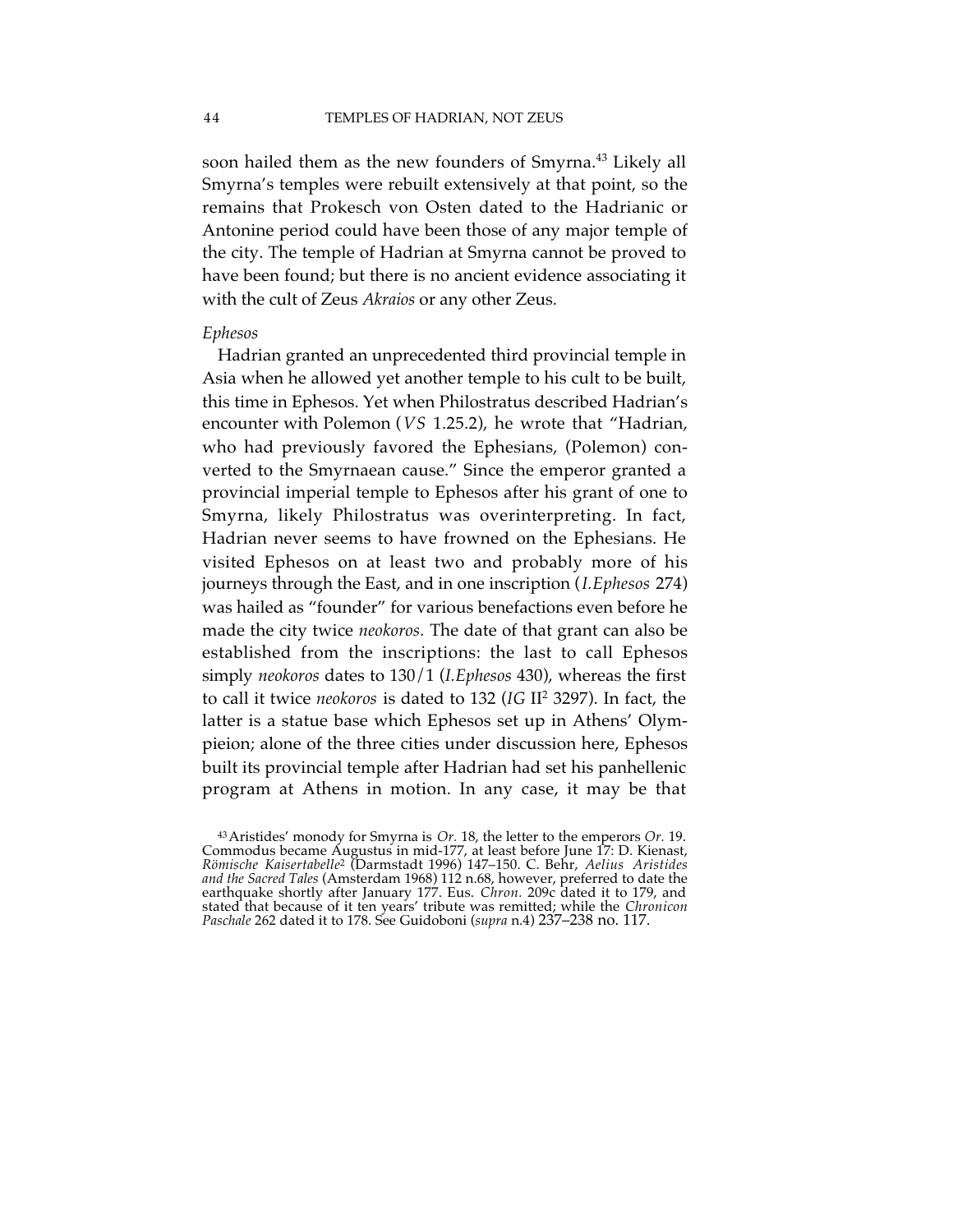soon hailed them as the new founders of Smyrna. <sup>43</sup> Likely all Smyrna's temples were rebuilt extensively at that point, so the remains that Prokesch von Osten dated to the Hadrianic or Antonine period could have been those of any major temple of the city. The temple of Hadrian at Smyrna cannot be proved to have been found; but there is no ancient evidence associating it with the cult of Zeus *Akraios* or any other Zeus.

#### *Ephesos*

Hadrian granted an unprecedented third provincial temple in Asia when he allowed yet another temple to his cult to be built, this time in Ephesos. Yet when Philostratus described Hadrian's encounter with Polemon (*VS* 1.25.2), he wrote that "Hadrian, who had previously favored the Ephesians, (Polemon) converted to the Smyrnaean cause." Since the emperor granted a provincial imperial temple to Ephesos after his grant of one to Smyrna, likely Philostratus was overinterpreting. In fact, Hadrian never seems to have frowned on the Ephesians. He visited Ephesos on at least two and probably more of his journeys through the East, and in one inscription (*I.Ephesos* 274) was hailed as "founder" for various benefactions even before he made the city twice *neokoros.* The date of that grant can also be established from the inscriptions: the last to call Ephesos simply *neokoros* dates to 130/1 (*I.Ephesos* 430), whereas the first to call it twice *neokoros* is dated to 132 (*IG* II <sup>2</sup> 3297). In fact, the latter is a statue base which Ephesos set up in Athens' Olympieion; alone of the three cities under discussion here, Ephesos built its provincial temple after Hadrian had set his panhellenic program at Athens in motion. In any case, it may be that

<sup>43</sup>Aristides' monody for Smyrna is *Or.* 18, the letter to the emperors *Or.* 19. Commodus became Augustus in mid-177, at least before June 17: D. Kienast, *Römische Kaisertabelle*<sup>2</sup> (Darmstadt 1996) 147–150. C. Behr, *Aelius Aristides and the Sacred Tales* (Amsterdam 1968) 112 n.68, however, preferred to date the earthquake shortly after January 177. Eus. *Chron.* 209c dated it to 179, and stated that because of it ten years' tribute was remitted; while the *Chronicon Paschale* 262 dated it to 178. See Guidoboni (*supra* n.4) 237–238 no. 117.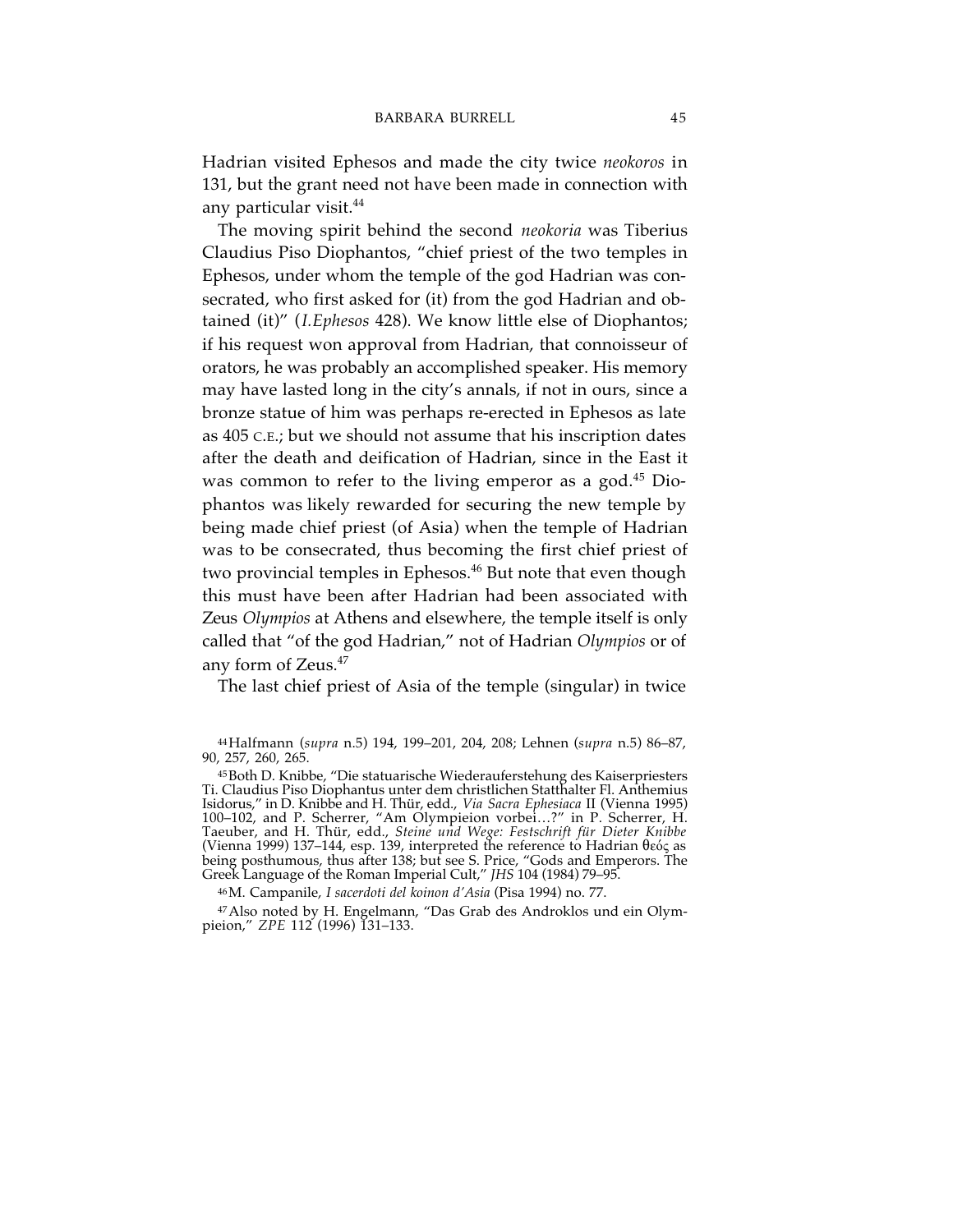Hadrian visited Ephesos and made the city twice *neokoros* in 131, but the grant need not have been made in connection with any particular visit. 44

The moving spirit behind the second *neokoria* was Tiberius Claudius Piso Diophantos, "chief priest of the two temples in Ephesos, under whom the temple of the god Hadrian was consecrated, who first asked for (it) from the god Hadrian and obtained (it)" (*I.Ephesos* 428). We know little else of Diophantos; if his request won approval from Hadrian, that connoisseur of orators, he was probably an accomplished speaker. His memory may have lasted long in the city's annals, if not in ours, since a bronze statue of him was perhaps re-erected in Ephesos as late as 405 C.E.; but we should not assume that his inscription dates after the death and deification of Hadrian, since in the East it was common to refer to the living emperor as a god. <sup>45</sup> Diophantos was likely rewarded for securing the new temple by being made chief priest (of Asia) when the temple of Hadrian was to be consecrated, thus becoming the first chief priest of two provincial temples in Ephesos. <sup>46</sup> But note that even though this must have been after Hadrian had been associated with Zeus *Olympios* at Athens and elsewhere, the temple itself is only called that "of the god Hadrian," not of Hadrian *Olympios* or of any form of Zeus. 47

The last chief priest of Asia of the temple (singular) in twice

46M. Campanile, *I sacerdoti del koinon d'Asia* (Pisa 1994) no. 77.

47Also noted by H. Engelmann, "Das Grab des Androklos und ein Olympieion," *ZPE* 112 (1996) 131–133.

<sup>44</sup>Halfmann (*supra* n.5) 194, 199–201, 204, 208; Lehnen (*supra* n.5) 86–87, 90, 257, 260, 265.

<sup>45</sup>Both D. Knibbe, "Die statuarische Wiederauferstehung des Kaiserpriesters Ti. Claudius Piso Diophantus unter dem christlichen Statthalter Fl. Anthemius Isidorus," in D. Knibbe and H. Thür, edd., *Via Sacra Ephesiaca* II (Vienna 1995) 100–102, and P. Scherrer, "Am Olympieion vorbei...?" in P. Scherrer, H.<br>Taeuber, and H. Thür, edd., *Steine und Wege: Festschrift für Dieter Knibbe*<br>(Vienna 1999) 137–144, esp. 139, interpreted the reference to Hadrian θε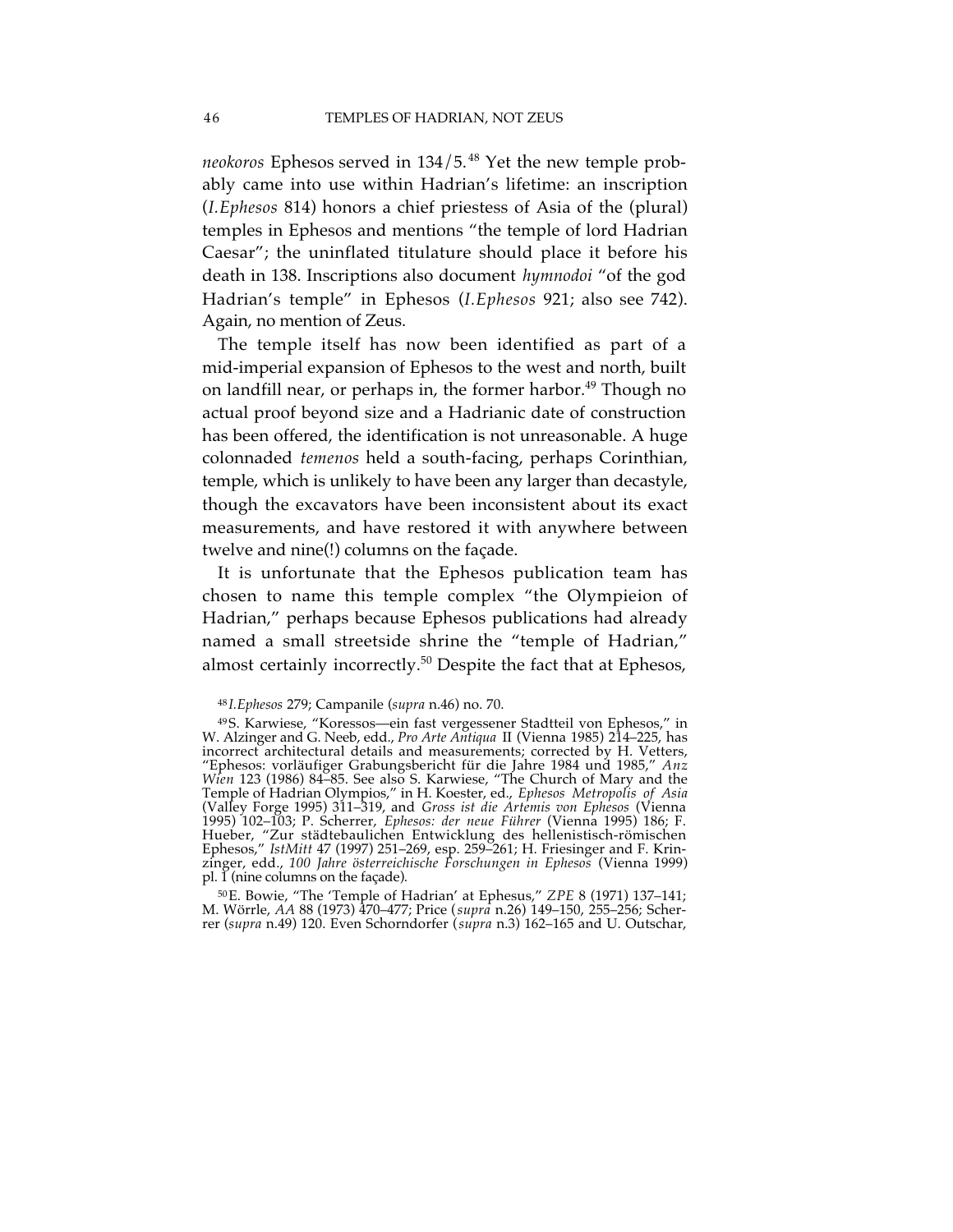*neokoros* Ephesos served in 134/5. <sup>48</sup> Yet the new temple probably came into use within Hadrian's lifetime: an inscription (*I.Ephesos* 814) honors a chief priestess of Asia of the (plural) temples in Ephesos and mentions "the temple of lord Hadrian Caesar"; the uninflated titulature should place it before his death in 138. Inscriptions also document *hymnodoi* "of the god Hadrian's temple" in Ephesos (*I.Ephesos* 921; also see 742). Again, no mention of Zeus.

The temple itself has now been identified as part of a mid-imperial expansion of Ephesos to the west and north, built on landfill near, or perhaps in, the former harbor. <sup>49</sup> Though no actual proof beyond size and a Hadrianic date of construction has been offered, the identification is not unreasonable. A huge colonnaded *temenos* held a south-facing, perhaps Corinthian, temple, which is unlikely to have been any larger than decastyle, though the excavators have been inconsistent about its exact measurements, and have restored it with anywhere between twelve and nine(!) columns on the façade.

It is unfortunate that the Ephesos publication team has chosen to name this temple complex "the Olympieion of Hadrian," perhaps because Ephesos publications had already named a small streetside shrine the "temple of Hadrian," almost certainly incorrectly. <sup>50</sup> Despite the fact that at Ephesos,

50E. Bowie, "The 'Temple of Hadrian' at Ephesus," *ZPE* 8 (1971) 137–141; M. Wörrle, *AA* 88 (1973) 470–477; Price (*supra* n.26) 149–150, 255–256; Scherrer (*supra* n.49) 120. Even Schorndorfer (*supra* n.3) 162–165 and U. Outschar,

<sup>48</sup> *I.Ephesos* 279; Campanile (*supra* n.46) no. 70.

<sup>49</sup>S. Karwiese, "Koressos—ein fast vergessener Stadtteil von Ephesos," in W. Alzinger and G. Neeb, edd., *Pro Arte Antiqua* II (Vienna 1985) 214–225, has incorrect architectural details and measurements; corrected by H. Vetters, "Ephesos: vorläufiger Grabungsbericht für die Jahre 1984 und 1985," *Anz Wien* 123 (1986) 84–85. See also S. Karwiese, "The Church of Mary and the Temple of Hadrian Olympios," in H. Koester, ed., *Ephesos Metropolis of Asia* (Valley Forge 1995) 311–319, and *Gross ist die Artemis von Ephesos* (Vienna 1995) 102–103; P. Scherrer, *Ephesos: der neue Führer* (Vienna 1995) 186; F. Hueber, "Zur städtebaulichen Entwicklung des hellenistisch-römischen Ephesos," *IstMitt* 47 (1997) 251–269, esp. 259–261; H. Friesinger and F. Krinzinger, edd., *100 Jahre österreichische Forschungen in Ephesos* (Vienna 1999) pl. 1 (nine columns on the façade).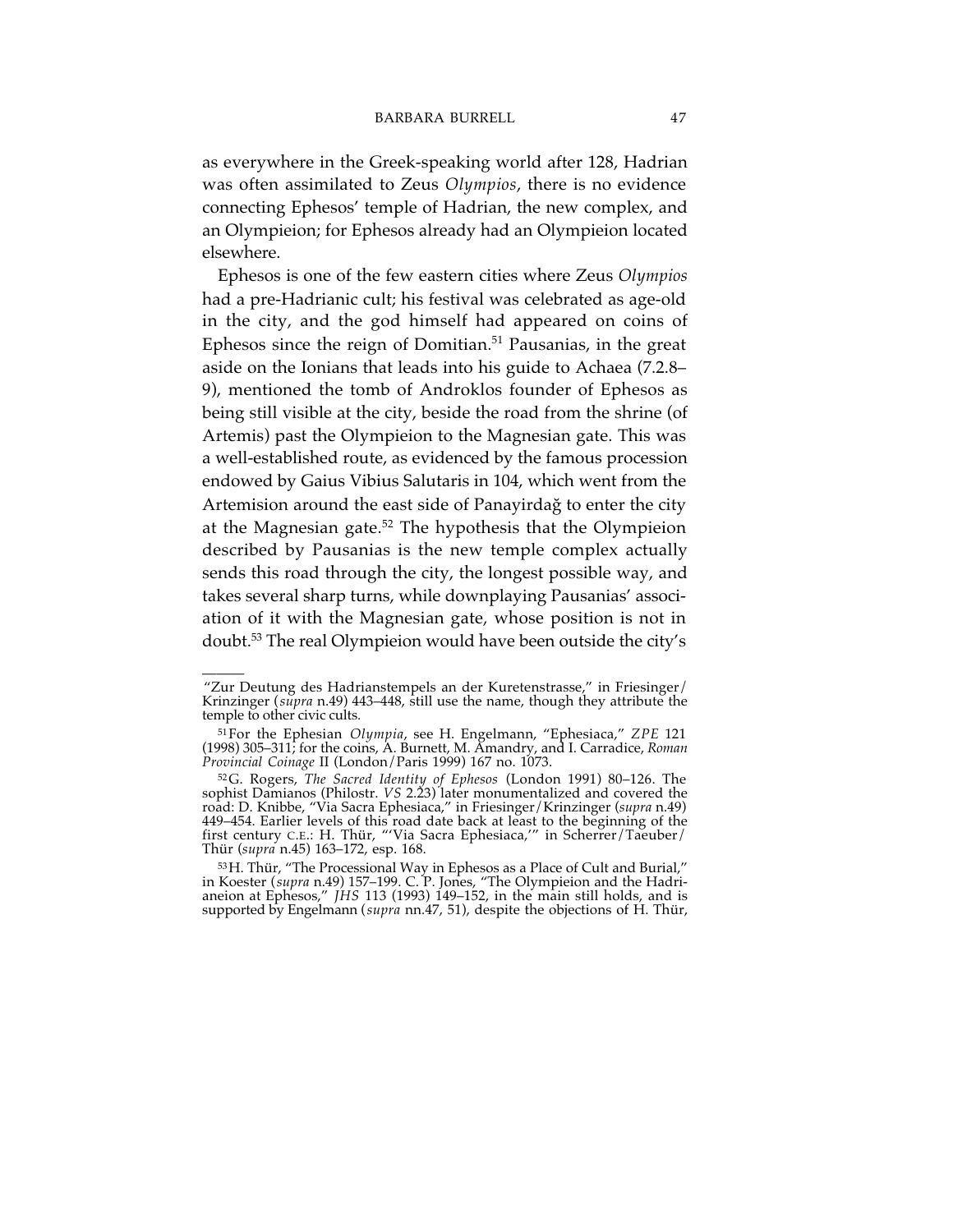as everywhere in the Greek-speaking world after 128, Hadrian was often assimilated to Zeus *Olympios*, there is no evidence connecting Ephesos' temple of Hadrian, the new complex, and an Olympieion; for Ephesos already had an Olympieion located elsewhere.

Ephesos is one of the few eastern cities where Zeus *Olympios* had a pre-Hadrianic cult; his festival was celebrated as age-old in the city, and the god himself had appeared on coins of Ephesos since the reign of Domitian. <sup>51</sup> Pausanias, in the great aside on the Ionians that leads into his guide to Achaea (7.2.8– 9), mentioned the tomb of Androklos founder of Ephesos as being still visible at the city, beside the road from the shrine (of Artemis) past the Olympieion to the Magnesian gate. This was a well-established route, as evidenced by the famous procession endowed by Gaius Vibius Salutaris in 104, which went from the Artemision around the east side of Panayirdağ to enter the city at the Magnesian gate. <sup>52</sup> The hypothesis that the Olympieion described by Pausanias is the new temple complex actually sends this road through the city, the longest possible way, and takes several sharp turns, while downplaying Pausanias' association of it with the Magnesian gate, whose position is not in doubt. <sup>53</sup> The real Olympieion would have been outside the city's

<sup>———</sup> "Zur Deutung des Hadrianstempels an der Kuretenstrasse," in Friesinger/ Krinzinger (*supra* n.49) 443–448, still use the name, though they attribute the temple to other civic cults.

<sup>51</sup>For the Ephesian *Olympia*, see H. Engelmann, "Ephesiaca," *ZPE* 121 (1998) 305–311; for the coins, A. Burnett, M. Amandry, and I. Carradice, *Roman Provincial Coinage* II (London/Paris 1999) 167 no. 1073.

<sup>52</sup>G. Rogers, *The Sacred Identity of Ephesos* (London 1991) 80–126. The sophist Damianos (Philostr. *VS* 2.23) later monumentalized and covered the road: D. Knibbe, "Via Sacra Ephesiaca," in Friesinger/Krinzinger (*supra* n.49) 449–454. Earlier levels of this road date back at least to the beginning of the first century C.E.: H. Thür, "'Via Sacra Ephesiaca,'" in Scherrer/Taeuber/ Thür (*supra* n.45) 163–172, esp. 168.

<sup>53</sup>H. Thür, "The Processional Way in Ephesos as a Place of Cult and Burial," in Koester (*supra* n.49) 157–199. C. P. Jones, "The Olympieion and the Hadrianeion at Ephesos," *JHS* 113 (1993) 149–152, in the main still holds, and is supported by Engelmann (*supra* nn.47, 51), despite the objections of H. Thür,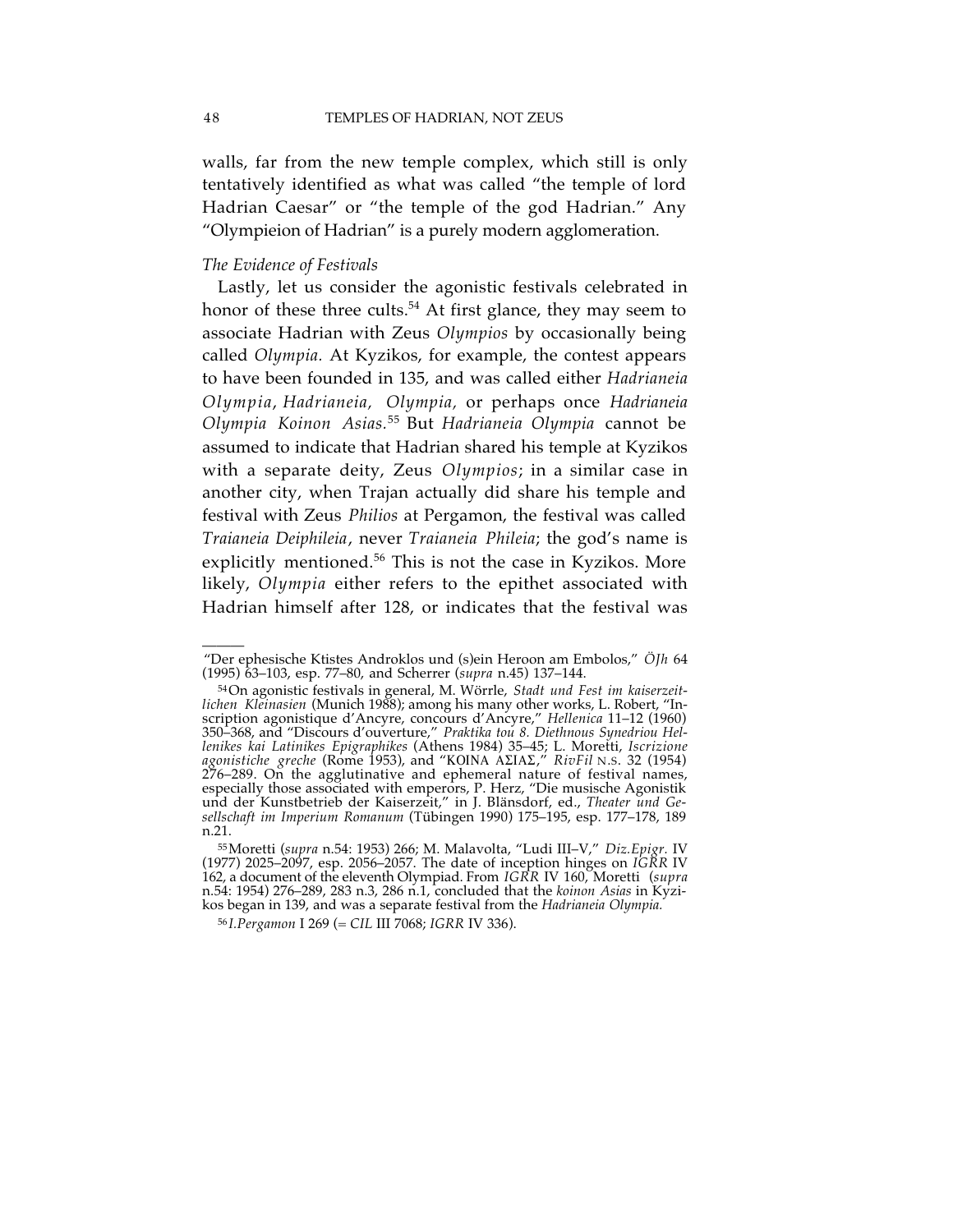walls, far from the new temple complex, which still is only tentatively identified as what was called "the temple of lord Hadrian Caesar" or "the temple of the god Hadrian." Any "Olympieion of Hadrian" is a purely modern agglomeration.

## *The Evidence of Festivals*

Lastly, let us consider the agonistic festivals celebrated in honor of these three cults. <sup>54</sup> At first glance, they may seem to associate Hadrian with Zeus *Olympios* by occasionally being called *Olympia.* At Kyzikos, for example, the contest appears to have been founded in 135, and was called either *Hadrianeia Olympia*, *Hadrianeia, Olympia,* or perhaps once *Hadrianeia Olympia Koinon Asias.* <sup>55</sup> But *Hadrianeia Olympia* cannot be assumed to indicate that Hadrian shared his temple at Kyzikos with a separate deity, Zeus *Olympios*; in a similar case in another city, when Trajan actually did share his temple and festival with Zeus *Philios* at Pergamon, the festival was called *Traianeia Deiphileia*, never *Traianeia Phileia*; the god's name is explicitly mentioned. <sup>56</sup> This is not the case in Kyzikos. More likely, *Olympia* either refers to the epithet associated with Hadrian himself after 128, or indicates that the festival was

<sup>———</sup> "Der ephesische Ktistes Androklos und (s)ein Heroon am Embolos," *ÖJh* 64 (1995) 63–103, esp. 77–80, and Scherrer (*supra* n.45) 137–144.

<sup>54</sup>On agonistic festivals in general, M. Wörrle, *Stadt und Fest im kaiserzeitlichen Kleinasien* (Munich 1988); among his many other works, L. Robert, "Inscription agonistique d'Ancyre, concours d'Ancyre," *Hellenica* 11–12 (1960) 350–368, and "Discours d'ouverture," *Praktika tou 8. Diethnous Synedriou Hellenikes kai Latinikes Epigraphikes* (Athens 1984) 35–45; L. Moretti, *Iscrizione agonistiche greche* (Rome 1953), and "KOINA ASIAS," *RivFil* N.S. 32 (1954) 276–289. On the agglutinative and ephemeral nature of festival names, especially those associated with emperors, P. Herz, "Die musische Agonistik und der Kunstbetrieb der Kaiserzeit," in J. Blänsdorf, ed., *Theater und Gesellschaft im Imperium Romanum* (Tübingen 1990) 175–195, esp. 177–178, 189 n.21.

<sup>55</sup>Moretti (*supra* n.54: 1953) 266; M. Malavolta, "Ludi III–V," *Diz.Epigr.* IV (1977) 2025–2097, esp. 2056–2057. The date of inception hinges on *IGRR* IV 162, a document of the eleventh Olympiad. From *IGRR* IV 160, Moretti (*supra* n.54: 1954) 276–289, 283 n.3, 286 n.1, concluded that the *koinon Asias* in Kyzikos began in 139, and was a separate festival from the *Hadrianeia Olympia.*

<sup>56</sup> *I.Pergamon* I 269 (= *CIL* III 7068; *IGRR* IV 336).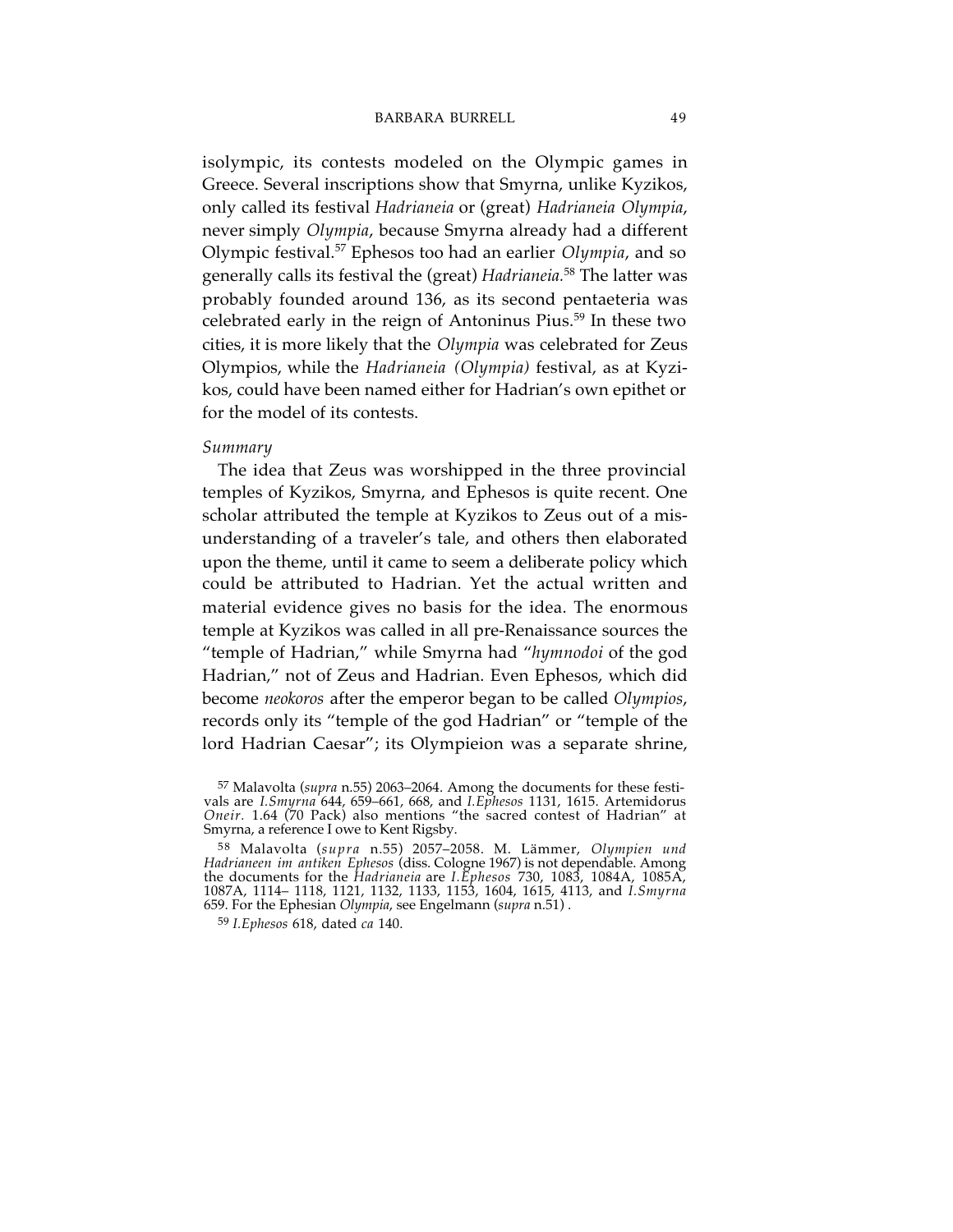isolympic, its contests modeled on the Olympic games in Greece. Several inscriptions show that Smyrna, unlike Kyzikos, only called its festival *Hadrianeia* or (great) *Hadrianeia Olympia*, never simply *Olympia*, because Smyrna already had a different Olympic festival. <sup>57</sup> Ephesos too had an earlier *Olympia*, and so generally calls its festival the (great) *Hadrianeia.* <sup>58</sup> The latter was probably founded around 136, as its second pentaeteria was celebrated early in the reign of Antoninus Pius. <sup>59</sup> In these two cities, it is more likely that the *Olympia* was celebrated for Zeus Olympios, while the *Hadrianeia (Olympia)* festival, as at Kyzikos, could have been named either for Hadrian's own epithet or for the model of its contests.

#### *Summary*

The idea that Zeus was worshipped in the three provincial temples of Kyzikos, Smyrna, and Ephesos is quite recent. One scholar attributed the temple at Kyzikos to Zeus out of a misunderstanding of a traveler's tale, and others then elaborated upon the theme, until it came to seem a deliberate policy which could be attributed to Hadrian. Yet the actual written and material evidence gives no basis for the idea. The enormous temple at Kyzikos was called in all pre-Renaissance sources the "temple of Hadrian," while Smyrna had "*hymnodoi* of the god Hadrian," not of Zeus and Hadrian. Even Ephesos, which did become *neokoros* after the emperor began to be called *Olympios*, records only its "temple of the god Hadrian" or "temple of the lord Hadrian Caesar"; its Olympieion was a separate shrine,

<sup>57</sup> Malavolta (*supra* n.55) 2063–2064. Among the documents for these festivals are *I.Smyrna* 644, 659–661, 668, and *I.Ephesos* 1131, 1615. Artemidorus *Oneir.* 1.64 (70 Pack) also mentions "the sacred contest of Hadrian" at Smyrna, a reference I owe to Kent Rigsby.

<sup>58</sup> Malavolta (*supra* n.55) 2057–2058. M. Lämmer, *Olympien und Hadrianeen im antiken Ephesos* (diss. Cologne 1967) is not dependable. Among the documents for the *Hadrianeia* are *I.Ephesos* 730, 1083, 1084A, 1085A, 1087A, 1114– 1118, 1121, 1132, 1133, 1153, 1604, 1615, 4113, and *I.Smyrna* 659. For the Ephesian *Olympia*, see Engelmann (*supra* n.51) .

<sup>59</sup> *I.Ephesos* 618, dated *ca* 140.